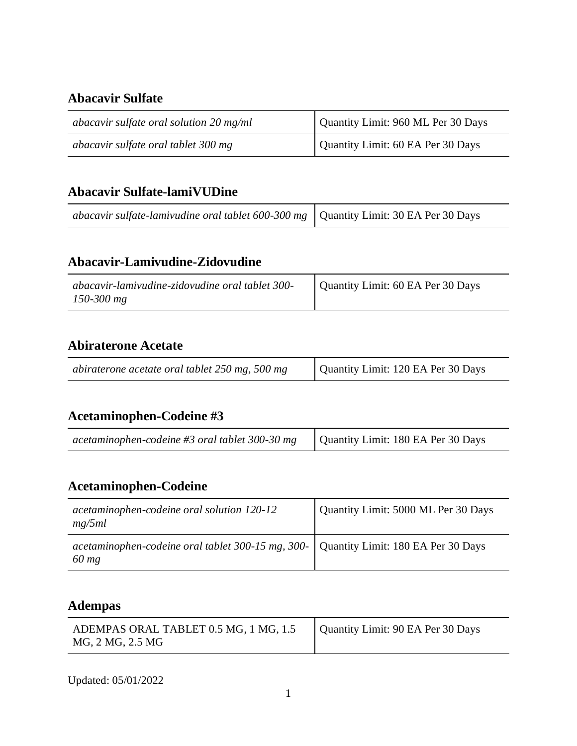### **Abacavir Sulfate**

| abacavir sulfate oral solution $20 \text{ mg/ml}$ | Quantity Limit: 960 ML Per 30 Days |
|---------------------------------------------------|------------------------------------|
| abacavir sulfate oral tablet 300 mg               | Quantity Limit: 60 EA Per 30 Days  |

### **Abacavir Sulfate-lamiVUDine**

| abacavir sulfate-lamivudine oral tablet 600-300 mg $\vert$ Quantity Limit: 30 EA Per 30 Days |  |
|----------------------------------------------------------------------------------------------|--|
|----------------------------------------------------------------------------------------------|--|

## **Abacavir-Lamivudine-Zidovudine**

| abacavir-lamivudine-zidovudine oral tablet 300- | Quantity Limit: 60 EA Per 30 Days |
|-------------------------------------------------|-----------------------------------|
| $150 - 300$ mg                                  |                                   |

## **Abiraterone Acetate**

| abiraterone acetate oral tablet 250 mg, 500 mg | Quantity Limit: 120 EA Per 30 Days |
|------------------------------------------------|------------------------------------|
|                                                |                                    |

## **Acetaminophen-Codeine #3**

| acetaminophen-codeine #3 oral tablet 300-30 mg | Quantity Limit: 180 EA Per 30 Days |
|------------------------------------------------|------------------------------------|
|------------------------------------------------|------------------------------------|

<u> 1980 - Johann Stoff, deutscher Stoffen und der Stoffen und der Stoffen und der Stoffen und der Stoffen und de</u>

### **Acetaminophen-Codeine**

| acetaminophen-codeine oral solution 120-12<br>mg/5ml                                            | Quantity Limit: 5000 ML Per 30 Days |
|-------------------------------------------------------------------------------------------------|-------------------------------------|
| acetaminophen-codeine oral tablet 300-15 mg, 300-   Quantity Limit: 180 EA Per 30 Days<br>60 mg |                                     |

### **Adempas**

| ADEMPAS ORAL TABLET 0.5 MG, 1 MG, 1.5<br>MG, 2 MG, 2.5 MG | Quantity Limit: 90 EA Per 30 Days |
|-----------------------------------------------------------|-----------------------------------|
|-----------------------------------------------------------|-----------------------------------|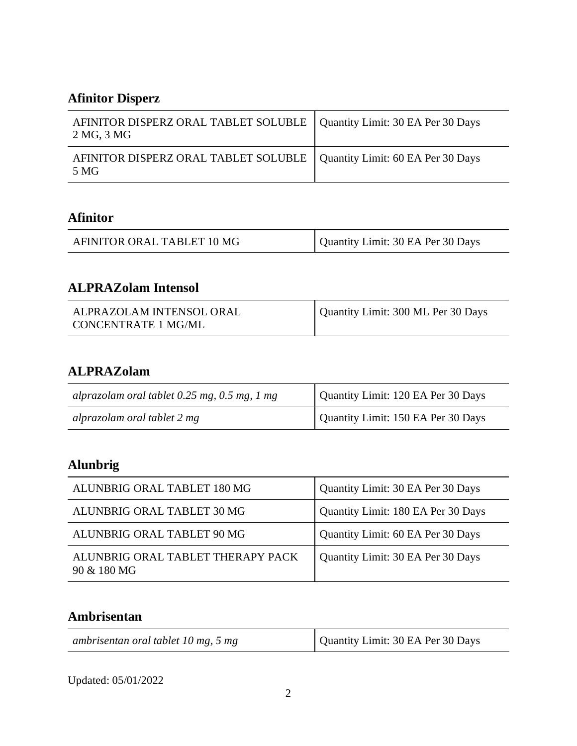# **Afinitor Disperz**

| AFINITOR DISPERZ ORAL TABLET SOLUBLE   Quantity Limit: 30 EA Per 30 Days<br>2 MG, 3 MG |  |
|----------------------------------------------------------------------------------------|--|
| AFINITOR DISPERZ ORAL TABLET SOLUBLE   Quantity Limit: 60 EA Per 30 Days<br>5 MG       |  |

### **Afinitor**

| AFINITOR ORAL TABLET 10 MG | Quantity Limit: 30 EA Per 30 Days |
|----------------------------|-----------------------------------|
|----------------------------|-----------------------------------|

## **ALPRAZolam Intensol**

| ALPRAZOLAM INTENSOL ORAL<br>CONCENTRATE 1 MG/ML | Quantity Limit: 300 ML Per 30 Days |
|-------------------------------------------------|------------------------------------|
|                                                 |                                    |

## **ALPRAZolam**

| alprazolam oral tablet $0.25$ mg, $0.5$ mg, 1 mg | Quantity Limit: 120 EA Per 30 Days |
|--------------------------------------------------|------------------------------------|
| alprazolam oral tablet 2 mg                      | Quantity Limit: 150 EA Per 30 Days |

# **Alunbrig**

| ALUNBRIG ORAL TABLET 180 MG                      | Quantity Limit: 30 EA Per 30 Days  |
|--------------------------------------------------|------------------------------------|
| ALUNBRIG ORAL TABLET 30 MG                       | Quantity Limit: 180 EA Per 30 Days |
| ALUNBRIG ORAL TABLET 90 MG                       | Quantity Limit: 60 EA Per 30 Days  |
| ALUNBRIG ORAL TABLET THERAPY PACK<br>90 & 180 MG | Quantity Limit: 30 EA Per 30 Days  |

### **Ambrisentan**

| ambrisentan oral tablet 10 mg, 5 mg | Quantity Limit: 30 EA Per 30 Days |
|-------------------------------------|-----------------------------------|
|-------------------------------------|-----------------------------------|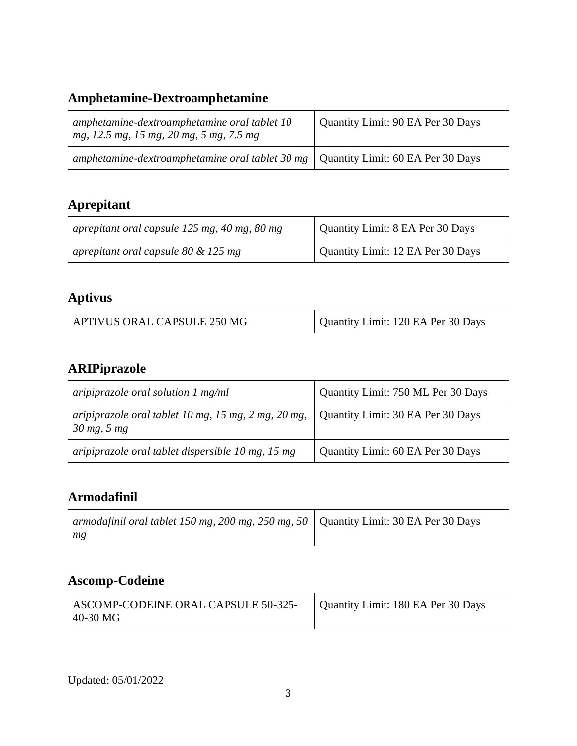# **Amphetamine-Dextroamphetamine**

| amphetamine-dextroamphetamine oral tablet 10<br>mg, 12.5 mg, 15 mg, 20 mg, 5 mg, 7.5 mg   | Quantity Limit: 90 EA Per 30 Days |
|-------------------------------------------------------------------------------------------|-----------------------------------|
| amphetamine-dextroamphetamine oral tablet 30 mg $\vert$ Quantity Limit: 60 EA Per 30 Days |                                   |

# **Aprepitant**

| aprepitant oral capsule 125 mg, 40 mg, 80 mg | Quantity Limit: 8 EA Per 30 Days  |
|----------------------------------------------|-----------------------------------|
| aprepitant oral capsule 80 $&$ 125 mg        | Quantity Limit: 12 EA Per 30 Days |

# **Aptivus**

| Quantity Limit: 120 EA Per 30 Days<br>APTIVUS ORAL CAPSULE 250 MG |
|-------------------------------------------------------------------|
|-------------------------------------------------------------------|

# **ARIPiprazole**

| aripiprazole oral solution $1 \text{ mg/ml}$                                         | Quantity Limit: 750 ML Per 30 Days |
|--------------------------------------------------------------------------------------|------------------------------------|
| aripiprazole oral tablet 10 mg, 15 mg, 2 mg, 20 mg,<br>$30 \text{ mg}, 5 \text{ mg}$ | Quantity Limit: 30 EA Per 30 Days  |
| aripiprazole oral tablet dispersible 10 mg, 15 mg                                    | Quantity Limit: 60 EA Per 30 Days  |

### **Armodafinil**

| armodafinil oral tablet 150 mg, 200 mg, 250 mg, 50   Quantity Limit: 30 EA Per 30 Days |  |
|----------------------------------------------------------------------------------------|--|
| mg                                                                                     |  |

# **Ascomp-Codeine**

| ASCOMP-CODEINE ORAL CAPSULE 50-325-<br>40-30 MG | Quantity Limit: 180 EA Per 30 Days |
|-------------------------------------------------|------------------------------------|
|-------------------------------------------------|------------------------------------|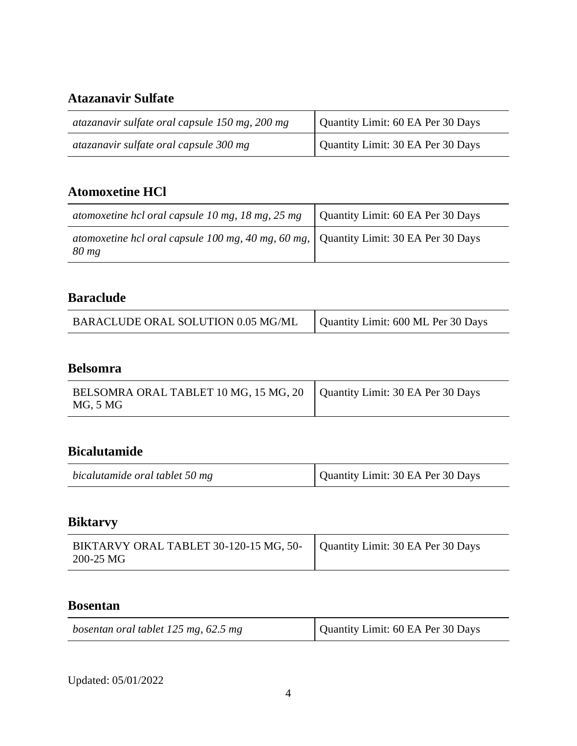## **Atazanavir Sulfate**

| atazanavir sulfate oral capsule 150 mg, 200 mg | Quantity Limit: 60 EA Per 30 Days |
|------------------------------------------------|-----------------------------------|
| atazanavir sulfate oral capsule 300 mg         | Quantity Limit: 30 EA Per 30 Days |

## **Atomoxetine HCl**

| atomoxetine hcl oral capsule 10 mg, 18 mg, 25 mg                                                  | Quantity Limit: 60 EA Per 30 Days |
|---------------------------------------------------------------------------------------------------|-----------------------------------|
| atomoxetine hcl oral capsule 100 mg, 40 mg, 60 mg,   Quantity Limit: 30 EA Per 30 Days<br>$80$ mg |                                   |

## **Baraclude**

| BARACLUDE ORAL SOLUTION 0.05 MG/ML | Quantity Limit: 600 ML Per 30 Days |
|------------------------------------|------------------------------------|

### **Belsomra**

| BELSOMRA ORAL TABLET 10 MG, 15 MG, 20   Quantity Limit: 30 EA Per 30 Days |  |
|---------------------------------------------------------------------------|--|
| MG, 5 MG                                                                  |  |

### **Bicalutamide**

| bicalutamide oral tablet 50 mg | Quantity Limit: 30 EA Per 30 Days |
|--------------------------------|-----------------------------------|
|--------------------------------|-----------------------------------|

### **Biktarvy**

| BIKTARVY ORAL TABLET 30-120-15 MG, 50-   Quantity Limit: 30 EA Per 30 Days<br>200-25 MG |  |
|-----------------------------------------------------------------------------------------|--|
|-----------------------------------------------------------------------------------------|--|

#### **Bosentan**

| bosentan oral tablet 125 mg, 62.5 mg | Quantity Limit: 60 EA Per 30 Days |
|--------------------------------------|-----------------------------------|
|--------------------------------------|-----------------------------------|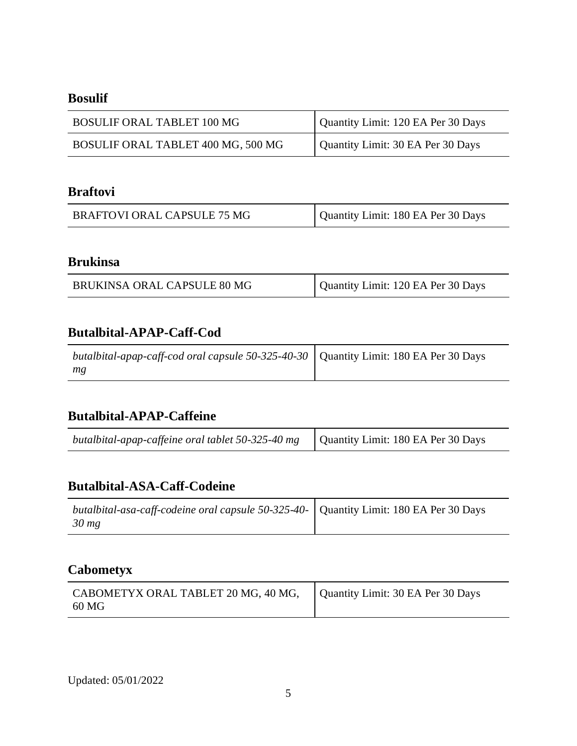### **Bosulif**

| <b>BOSULIF ORAL TABLET 100 MG</b>  | Quantity Limit: 120 EA Per 30 Days |
|------------------------------------|------------------------------------|
| BOSULIF ORAL TABLET 400 MG, 500 MG | Quantity Limit: 30 EA Per 30 Days  |

## **Braftovi**

| BRAFTOVI ORAL CAPSULE 75 MG | Quantity Limit: 180 EA Per 30 Days |
|-----------------------------|------------------------------------|
|-----------------------------|------------------------------------|

### **Brukinsa**

| BRUKINSA ORAL CAPSULE 80 MG | Quantity Limit: 120 EA Per 30 Days |
|-----------------------------|------------------------------------|
|-----------------------------|------------------------------------|

#### **Butalbital-APAP-Caff-Cod**

| <i>butalbital-apap-caff-cod oral capsule 50-325-40-30</i>   Quantity Limit: 180 EA Per 30 Days |  |
|------------------------------------------------------------------------------------------------|--|
| mg                                                                                             |  |

### **Butalbital-APAP-Caffeine**

| <i>butalbital-apap-caffeine oral tablet 50-325-40 mg</i> $\vert$ Quantity Limit: 180 EA Per 30 Days |  |
|-----------------------------------------------------------------------------------------------------|--|
|-----------------------------------------------------------------------------------------------------|--|

### **Butalbital-ASA-Caff-Codeine**

| butalbital-asa-caff-codeine oral capsule 50-325-40- Quantity Limit: 180 EA Per 30 Days |  |
|----------------------------------------------------------------------------------------|--|
| $30 \, mg$                                                                             |  |

## **Cabometyx**

| CABOMETYX ORAL TABLET 20 MG, 40 MG,   Quantity Limit: 30 EA Per 30 Days |  |
|-------------------------------------------------------------------------|--|
| - 60 MG                                                                 |  |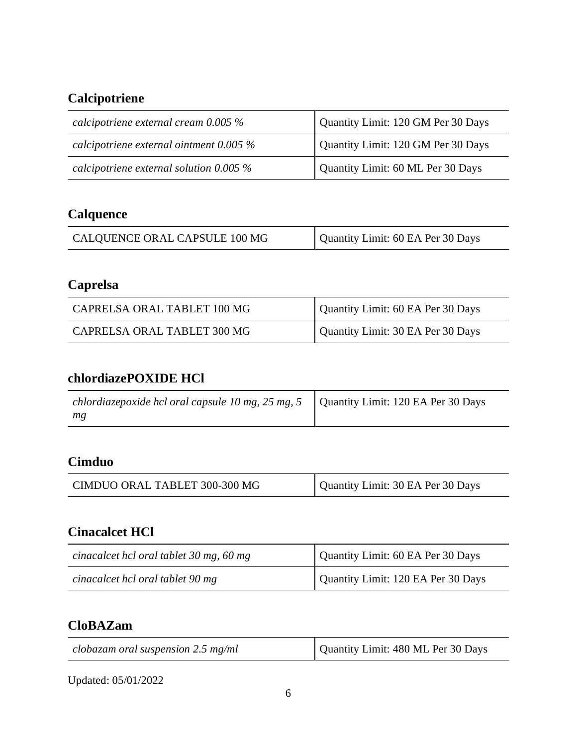# **Calcipotriene**

| calcipotriene external cream $0.005\%$    | Quantity Limit: 120 GM Per 30 Days |
|-------------------------------------------|------------------------------------|
| calcipotriene external ointment $0.005\%$ | Quantity Limit: 120 GM Per 30 Days |
| calcipotriene external solution $0.005\%$ | Quantity Limit: 60 ML Per 30 Days  |

# **Calquence**

| CALQUENCE ORAL CAPSULE 100 MG | Quantity Limit: 60 EA Per 30 Days |
|-------------------------------|-----------------------------------|

# **Caprelsa**

| CAPRELSA ORAL TABLET 100 MG | Quantity Limit: 60 EA Per 30 Days |
|-----------------------------|-----------------------------------|
| CAPRELSA ORAL TABLET 300 MG | Quantity Limit: 30 EA Per 30 Days |

## **chlordiazePOXIDE HCl**

| chlordiazepoxide hcl oral capsule 10 mg, 25 mg, 5 $\mid$ | Quantity Limit: 120 EA Per 30 Days |
|----------------------------------------------------------|------------------------------------|
| mg                                                       |                                    |

## **Cimduo**

| CIMDUO ORAL TABLET 300-300 MG | Quantity Limit: 30 EA Per 30 Days |
|-------------------------------|-----------------------------------|
|-------------------------------|-----------------------------------|

## **Cinacalcet HCl**

| cinacalcet hcl oral tablet 30 mg, 60 mg | Quantity Limit: 60 EA Per 30 Days  |
|-----------------------------------------|------------------------------------|
| cinacalcet hcl oral tablet 90 mg        | Quantity Limit: 120 EA Per 30 Days |

# **CloBAZam**

| clobazam oral suspension $2.5$ mg/ml | Quantity Limit: 480 ML Per 30 Days |
|--------------------------------------|------------------------------------|
|                                      |                                    |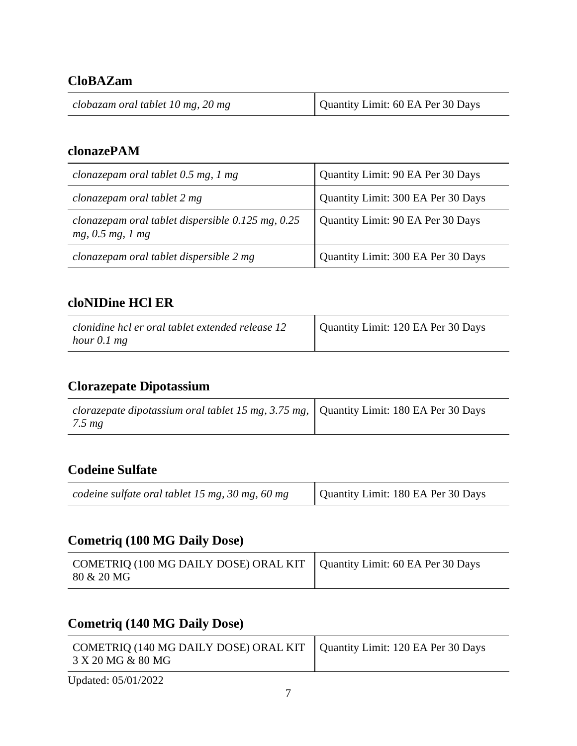## **CloBAZam**

| clobazam oral tablet 10 mg, 20 mg | Quantity Limit: 60 EA Per 30 Days |
|-----------------------------------|-----------------------------------|
|-----------------------------------|-----------------------------------|

### **clonazePAM**

| clonazepam oral tablet 0.5 mg, 1 mg                                       | Quantity Limit: 90 EA Per 30 Days  |
|---------------------------------------------------------------------------|------------------------------------|
| clonazepam oral tablet 2 mg                                               | Quantity Limit: 300 EA Per 30 Days |
| clonazepam oral tablet dispersible $0.125$ mg, $0.25$<br>mg, 0.5 mg, 1 mg | Quantity Limit: 90 EA Per 30 Days  |
| clonazepam oral tablet dispersible 2 mg                                   | Quantity Limit: 300 EA Per 30 Days |

## **cloNIDine HCl ER**

| clonidine hcl er oral tablet extended release 12 | Quantity Limit: 120 EA Per 30 Days |
|--------------------------------------------------|------------------------------------|
| hour $0.1$ mg                                    |                                    |

# **Clorazepate Dipotassium**

| <i>clorazepate dipotassium oral tablet 15 mg, 3.75 mg, <math>\vert</math> Quantity Limit: 180 EA Per 30 Days</i> |  |
|------------------------------------------------------------------------------------------------------------------|--|
| $7.5 \, mg$                                                                                                      |  |

### **Codeine Sulfate**

|  | codeine sulfate oral tablet 15 mg, 30 mg, 60 mg | Quantity Limit: 180 EA Per 30 Days |
|--|-------------------------------------------------|------------------------------------|
|--|-------------------------------------------------|------------------------------------|

## **Cometriq (100 MG Daily Dose)**

| COMETRIQ (100 MG DAILY DOSE) ORAL KIT $\vert$ Quantity Limit: 60 EA Per 30 Days<br>80 & 20 MG |  |
|-----------------------------------------------------------------------------------------------|--|
|                                                                                               |  |

# **Cometriq (140 MG Daily Dose)**

| COMETRIQ (140 MG DAILY DOSE) ORAL KIT   Quantity Limit: 120 EA Per 30 Days<br>3 X 20 MG & 80 MG |  |
|-------------------------------------------------------------------------------------------------|--|
| Updated: 05/01/2022                                                                             |  |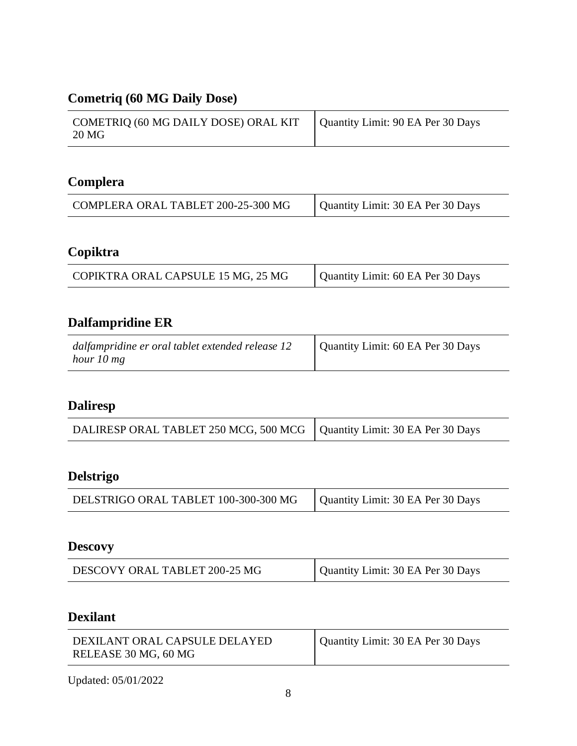# **Cometriq (60 MG Daily Dose)**

| COMETRIQ (60 MG DAILY DOSE) ORAL KIT | Quantity Limit: 90 EA Per 30 Days |
|--------------------------------------|-----------------------------------|
| 20 MG                                |                                   |

## **Complera**

| COMPLERA ORAL TABLET 200-25-300 MG | Quantity Limit: 30 EA Per 30 Days |
|------------------------------------|-----------------------------------|

# **Copiktra**

| COPIKTRA ORAL CAPSULE 15 MG, 25 MG | Quantity Limit: 60 EA Per 30 Days |
|------------------------------------|-----------------------------------|
|------------------------------------|-----------------------------------|

## **Dalfampridine ER**

| dalfampridine er oral tablet extended release 12 | Quantity Limit: 60 EA Per 30 Days |
|--------------------------------------------------|-----------------------------------|
| hour 10 mg                                       |                                   |

# **Daliresp**

| DALIRESP ORAL TABLET 250 MCG, 500 MCG   Quantity Limit: 30 EA Per 30 Days |  |
|---------------------------------------------------------------------------|--|
|---------------------------------------------------------------------------|--|

# **Delstrigo**

| DELSTRIGO ORAL TABLET 100-300-300 MG | Quantity Limit: 30 EA Per 30 Days |
|--------------------------------------|-----------------------------------|
|                                      |                                   |

# **Descovy**

| DESCOVY ORAL TABLET 200-25 MG | Quantity Limit: 30 EA Per 30 Days |
|-------------------------------|-----------------------------------|
|-------------------------------|-----------------------------------|

## **Dexilant**

| DEXILANT ORAL CAPSULE DELAYED<br>RELEASE 30 MG, 60 MG | Quantity Limit: 30 EA Per 30 Days |
|-------------------------------------------------------|-----------------------------------|
|-------------------------------------------------------|-----------------------------------|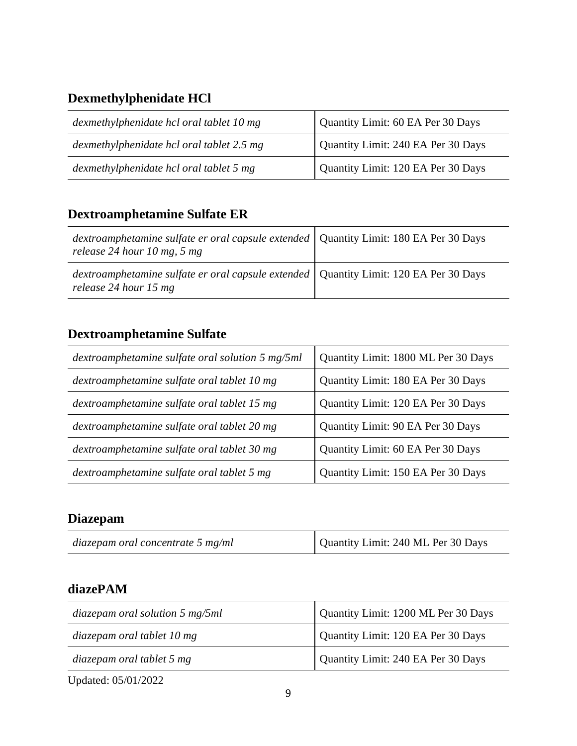# **Dexmethylphenidate HCl**

| dexmethylphenidate hcl oral tablet 10 mg  | Quantity Limit: 60 EA Per 30 Days  |
|-------------------------------------------|------------------------------------|
| dexmethylphenidate hcl oral tablet 2.5 mg | Quantity Limit: 240 EA Per 30 Days |
| dexmethylphenidate hcl oral tablet 5 mg   | Quantity Limit: 120 EA Per 30 Days |

# **Dextroamphetamine Sulfate ER**

| dextroamphetamine sulfate er oral capsule extended   Quantity Limit: 180 EA Per 30 Days<br>release 24 hour 10 mg, 5 mg |  |
|------------------------------------------------------------------------------------------------------------------------|--|
| dextroamphetamine sulfate er oral capsule extended   Quantity Limit: 120 EA Per 30 Days<br>release 24 hour 15 mg       |  |

# **Dextroamphetamine Sulfate**

| dextroamphetamine sulfate oral solution 5 mg/5ml | Quantity Limit: 1800 ML Per 30 Days |
|--------------------------------------------------|-------------------------------------|
| dextroamphetamine sulfate oral tablet 10 mg      | Quantity Limit: 180 EA Per 30 Days  |
| dextroamphetamine sulfate oral tablet 15 mg      | Quantity Limit: 120 EA Per 30 Days  |
| dextroamphetamine sulfate oral tablet 20 mg      | Quantity Limit: 90 EA Per 30 Days   |
| dextroamphetamine sulfate oral tablet 30 mg      | Quantity Limit: 60 EA Per 30 Days   |
| dextroamphetamine sulfate oral tablet 5 mg       | Quantity Limit: 150 EA Per 30 Days  |

## **Diazepam**

| diazepam oral concentrate $5 \text{ mg/ml}$ | Quantity Limit: 240 ML Per 30 Days |
|---------------------------------------------|------------------------------------|
|---------------------------------------------|------------------------------------|

## **diazePAM**

| diazepam oral solution $5 \text{ mg}/5ml$ | Quantity Limit: 1200 ML Per 30 Days |
|-------------------------------------------|-------------------------------------|
| diazepam oral tablet 10 mg                | Quantity Limit: 120 EA Per 30 Days  |
| diazepam oral tablet 5 mg                 | Quantity Limit: 240 EA Per 30 Days  |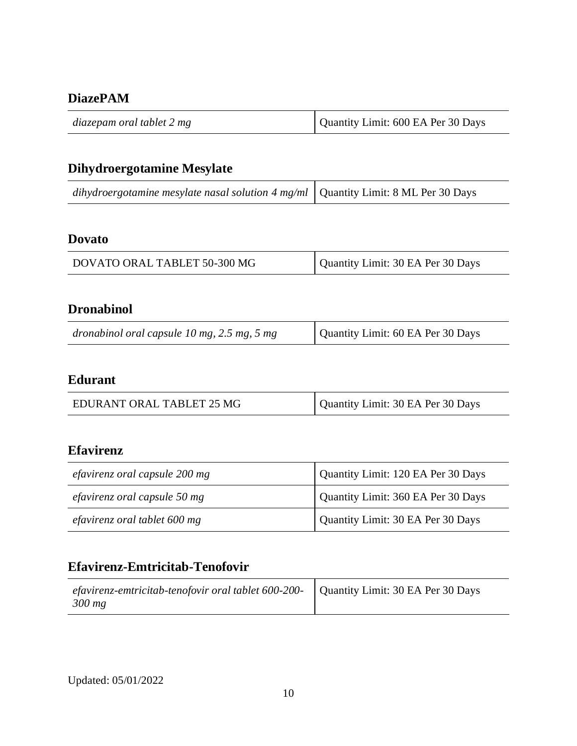### **DiazePAM**

| diazepam oral tablet 2 mg | Quantity Limit: 600 EA Per 30 Days |
|---------------------------|------------------------------------|
|---------------------------|------------------------------------|

# **Dihydroergotamine Mesylate**

|  | dihydroergotamine mesylate nasal solution 4 mg/ml $\vert$ Quantity Limit: 8 ML Per 30 Days |  |
|--|--------------------------------------------------------------------------------------------|--|
|--|--------------------------------------------------------------------------------------------|--|

#### **Dovato**

| DOVATO ORAL TABLET 50-300 MG | Quantity Limit: 30 EA Per 30 Days |
|------------------------------|-----------------------------------|

### **Dronabinol**

| dronabinol oral capsule $10$ mg, $2.5$ mg, $5$ mg | Quantity Limit: 60 EA Per 30 Days |
|---------------------------------------------------|-----------------------------------|
|---------------------------------------------------|-----------------------------------|

### **Edurant**

| EDURANT ORAL TABLET 25 MG | Quantity Limit: 30 EA Per 30 Days |
|---------------------------|-----------------------------------|

### **Efavirenz**

| efavirenz oral capsule 200 mg | Quantity Limit: 120 EA Per 30 Days |
|-------------------------------|------------------------------------|
| efavirenz oral capsule 50 mg  | Quantity Limit: 360 EA Per 30 Days |
| efavirenz oral tablet 600 mg  | Quantity Limit: 30 EA Per 30 Days  |

### **Efavirenz-Emtricitab-Tenofovir**

| <i>efavirenz-emtricitab-tenofovir oral tablet 600-200-</i>   Quantity Limit: 30 EA Per 30 Days |  |
|------------------------------------------------------------------------------------------------|--|
| 300 mg                                                                                         |  |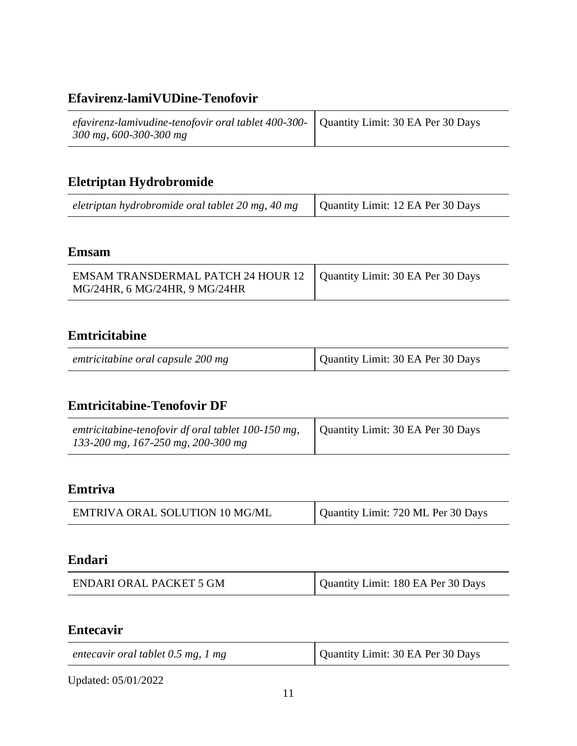# **Efavirenz-lamiVUDine-Tenofovir**

| efavirenz-lamivudine-tenofovir oral tablet 400-300-   Quantity Limit: 30 EA Per 30 Days |  |
|-----------------------------------------------------------------------------------------|--|
| 300 mg, 600-300-300 mg                                                                  |  |

## **Eletriptan Hydrobromide**

| eletriptan hydrobromide oral tablet 20 mg, 40 mg $\vert$ Quantity Limit: 12 EA Per 30 Days |  |
|--------------------------------------------------------------------------------------------|--|

#### **Emsam**

| EMSAM TRANSDERMAL PATCH 24 HOUR 12   Quantity Limit: 30 EA Per 30 Days |  |
|------------------------------------------------------------------------|--|
| MG/24HR, 6 MG/24HR, 9 MG/24HR                                          |  |

### **Emtricitabine**

| emtricitabine oral capsule 200 mg | Quantity Limit: 30 EA Per 30 Days |
|-----------------------------------|-----------------------------------|

### **Emtricitabine-Tenofovir DF**

| emtricitabine-tenofovir df oral tablet 100-150 mg, | Quantity Limit: 30 EA Per 30 Days |
|----------------------------------------------------|-----------------------------------|
| 133-200 mg, 167-250 mg, 200-300 mg                 |                                   |

### **Emtriva**

| <b>EMTRIVA ORAL SOLUTION 10 MG/ML</b> | Quantity Limit: 720 ML Per 30 Days |
|---------------------------------------|------------------------------------|
|                                       |                                    |

#### **Endari**

| ENDARI ORAL PACKET 5 GM | Quantity Limit: 180 EA Per 30 Days |
|-------------------------|------------------------------------|
|-------------------------|------------------------------------|

### **Entecavir**

| entecavir oral tablet 0.5 mg, 1 mg | Quantity Limit: 30 EA Per 30 Days |
|------------------------------------|-----------------------------------|
|                                    |                                   |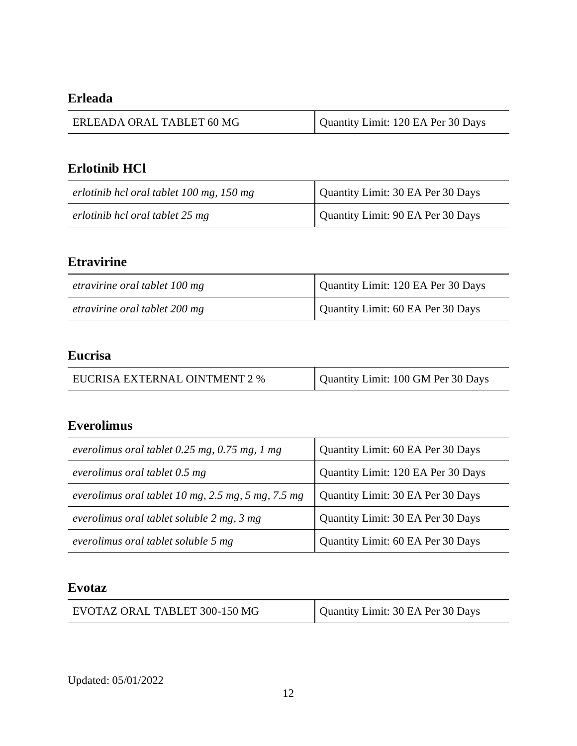## **Erleada**

| ERLEADA ORAL TABLET 60 MG | Quantity Limit: 120 EA Per 30 Days |
|---------------------------|------------------------------------|
|                           |                                    |

## **Erlotinib HCl**

| erlotinib hcl oral tablet 100 mg, 150 mg | Quantity Limit: 30 EA Per 30 Days |
|------------------------------------------|-----------------------------------|
| erlotinib hcl oral tablet 25 mg          | Quantity Limit: 90 EA Per 30 Days |

## **Etravirine**

| etravirine oral tablet 100 mg | Quantity Limit: 120 EA Per 30 Days |
|-------------------------------|------------------------------------|
| etravirine oral tablet 200 mg | Quantity Limit: 60 EA Per 30 Days  |

## **Eucrisa**

| EUCRISA EXTERNAL OINTMENT 2 % | Quantity Limit: 100 GM Per 30 Days |
|-------------------------------|------------------------------------|
|-------------------------------|------------------------------------|

### **Everolimus**

| everolimus oral tablet $0.25$ mg, $0.75$ mg, 1 mg        | Quantity Limit: 60 EA Per 30 Days  |
|----------------------------------------------------------|------------------------------------|
| everolimus oral tablet 0.5 mg                            | Quantity Limit: 120 EA Per 30 Days |
| everolimus oral tablet 10 mg, $2.5$ mg, $5$ mg, $7.5$ mg | Quantity Limit: 30 EA Per 30 Days  |
| everolimus oral tablet soluble 2 mg, 3 mg                | Quantity Limit: 30 EA Per 30 Days  |
| everolimus oral tablet soluble 5 mg                      | Quantity Limit: 60 EA Per 30 Days  |

### **Evotaz**

| EVOTAZ ORAL TABLET 300-150 MG | Quantity Limit: 30 EA Per 30 Days |
|-------------------------------|-----------------------------------|
|-------------------------------|-----------------------------------|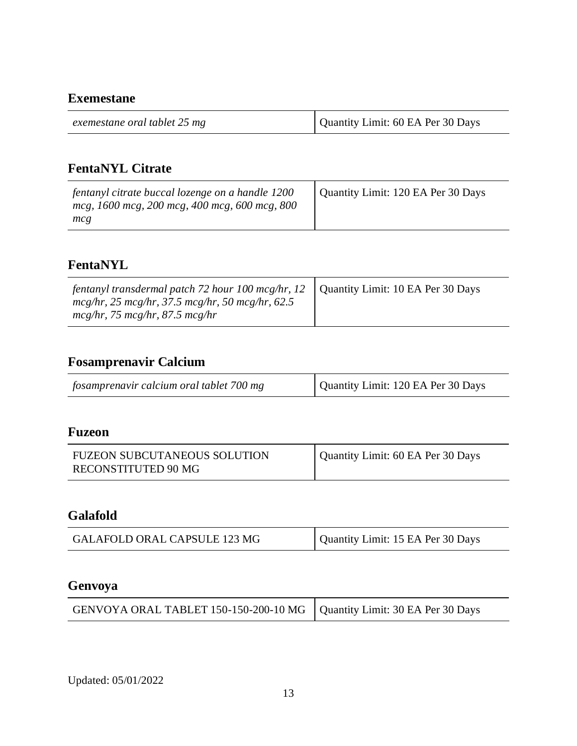#### **Exemestane**

| exemestane oral tablet 25 mg | Quantity Limit: 60 EA Per 30 Days |
|------------------------------|-----------------------------------|
|                              |                                   |

## **FentaNYL Citrate**

| fentanyl citrate buccal lozenge on a handle 1200<br>mcg, 1600 mcg, 200 mcg, 400 mcg, 600 mcg, 800<br>mcg | Quantity Limit: 120 EA Per 30 Days |
|----------------------------------------------------------------------------------------------------------|------------------------------------|
|----------------------------------------------------------------------------------------------------------|------------------------------------|

### **FentaNYL**

| fentanyl transdermal patch 72 hour $100 \text{ mcg/hr}$ , 12<br>$mcg/hr$ , 25 mcg/hr, 37.5 mcg/hr, 50 mcg/hr, 62.5<br>$mcg/hr$ , 75 mcg/hr, 87.5 mcg/hr | Quantity Limit: 10 EA Per 30 Days |
|---------------------------------------------------------------------------------------------------------------------------------------------------------|-----------------------------------|
|---------------------------------------------------------------------------------------------------------------------------------------------------------|-----------------------------------|

## **Fosamprenavir Calcium**

| fosamprenavir calcium oral tablet 700 mg | Quantity Limit: 120 EA Per 30 Days |
|------------------------------------------|------------------------------------|
|------------------------------------------|------------------------------------|

#### **Fuzeon**

| <b>FUZEON SUBCUTANEOUS SOLUTION</b> | Quantity Limit: 60 EA Per 30 Days |
|-------------------------------------|-----------------------------------|
| RECONSTITUTED 90 MG                 |                                   |

### **Galafold**

| GALAFOLD ORAL CAPSULE 123 MG | Quantity Limit: 15 EA Per 30 Days |
|------------------------------|-----------------------------------|
|------------------------------|-----------------------------------|

#### **Genvoya**

| GENVOYA ORAL TABLET 150-150-200-10 MG   Quantity Limit: 30 EA Per 30 Days |  |
|---------------------------------------------------------------------------|--|
|---------------------------------------------------------------------------|--|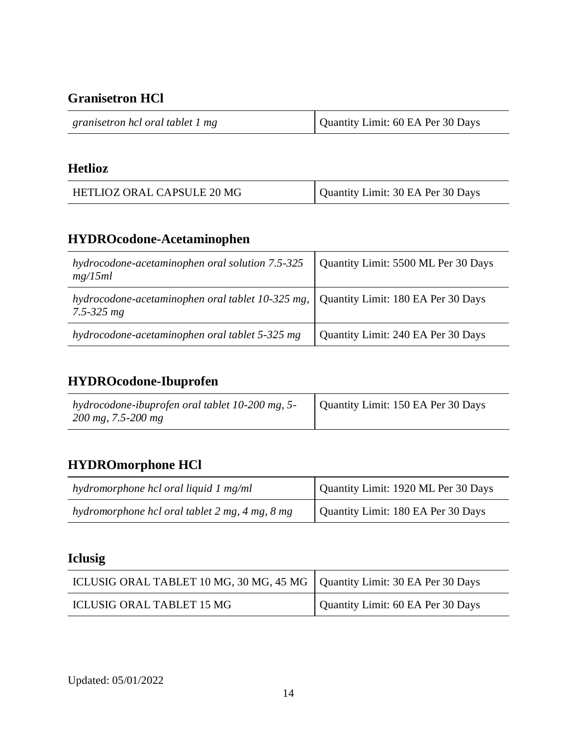**Granisetron HCl**

| granisetron hcl oral tablet 1 mg | Quantity Limit: 60 EA Per 30 Days |
|----------------------------------|-----------------------------------|
|                                  |                                   |

### **Hetlioz**

| HETLIOZ ORAL CAPSULE 20 MG | Quantity Limit: 30 EA Per 30 Days |
|----------------------------|-----------------------------------|
|----------------------------|-----------------------------------|

## **HYDROcodone-Acetaminophen**

| hydrocodone-acetaminophen oral solution 7.5-325<br>mg/15ml             | Quantity Limit: 5500 ML Per 30 Days |
|------------------------------------------------------------------------|-------------------------------------|
| hydrocodone-acetaminophen oral tablet $10-325$ mg,  <br>$7.5 - 325 mg$ | Quantity Limit: 180 EA Per 30 Days  |
| hydrocodone-acetaminophen oral tablet 5-325 mg                         | Quantity Limit: 240 EA Per 30 Days  |

# **HYDROcodone-Ibuprofen**

| hydrocodone-ibuprofen oral tablet 10-200 mg, 5-<br>$200 \text{ mg}, 7.5 \text{-} 200 \text{ mg}$ | Quantity Limit: 150 EA Per 30 Days |
|--------------------------------------------------------------------------------------------------|------------------------------------|

## **HYDROmorphone HCl**

| hydromorphone hcl oral liquid 1 mg/ml          | Quantity Limit: 1920 ML Per 30 Days |
|------------------------------------------------|-------------------------------------|
| hydromorphone hcl oral tablet 2 mg, 4 mg, 8 mg | Quantity Limit: 180 EA Per 30 Days  |

# **Iclusig**

| ICLUSIG ORAL TABLET 10 MG, 30 MG, 45 MG   Quantity Limit: 30 EA Per 30 Days |                                   |
|-----------------------------------------------------------------------------|-----------------------------------|
| ICLUSIG ORAL TABLET 15 MG                                                   | Quantity Limit: 60 EA Per 30 Days |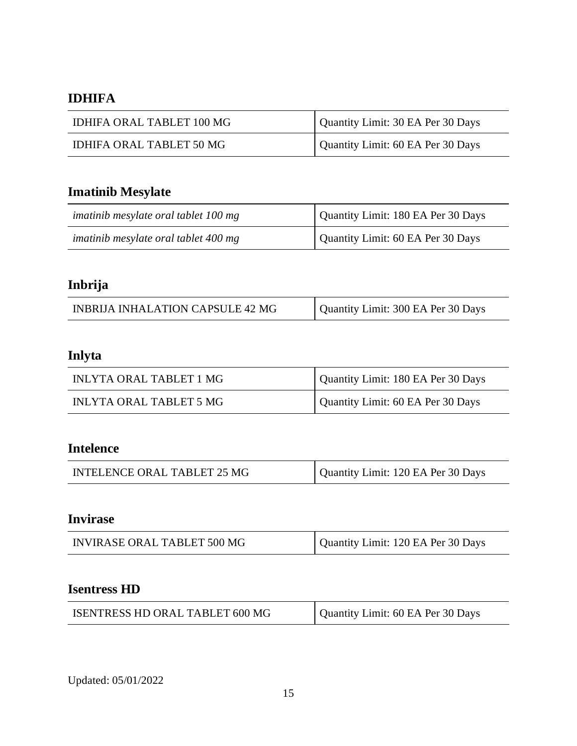## **IDHIFA**

| IDHIFA ORAL TABLET 100 MG | Quantity Limit: 30 EA Per 30 Days |
|---------------------------|-----------------------------------|
| IDHIFA ORAL TABLET 50 MG  | Quantity Limit: 60 EA Per 30 Days |

# **Imatinib Mesylate**

| imatinib mesylate oral tablet 100 mg | Quantity Limit: 180 EA Per 30 Days |
|--------------------------------------|------------------------------------|
| imatinib mesylate oral tablet 400 mg | Quantity Limit: 60 EA Per 30 Days  |

## **Inbrija**

| <b>INBRIJA INHALATION CAPSULE 42 MG</b> | Quantity Limit: 300 EA Per 30 Days |
|-----------------------------------------|------------------------------------|
|-----------------------------------------|------------------------------------|

# **Inlyta**

| INLYTA ORAL TABLET 1 MG | Quantity Limit: 180 EA Per 30 Days |
|-------------------------|------------------------------------|
| INLYTA ORAL TABLET 5 MG | Quantity Limit: 60 EA Per 30 Days  |

## **Intelence**

| INTELENCE ORAL TABLET 25 MG | Quantity Limit: 120 EA Per 30 Days |
|-----------------------------|------------------------------------|
|-----------------------------|------------------------------------|

### **Invirase**

|  | INVIRASE ORAL TABLET 500 MG | Quantity Limit: 120 EA Per 30 Days |
|--|-----------------------------|------------------------------------|
|--|-----------------------------|------------------------------------|

## **Isentress HD**

| ISENTRESS HD ORAL TABLET 600 MG | Quantity Limit: 60 EA Per 30 Days |
|---------------------------------|-----------------------------------|
|---------------------------------|-----------------------------------|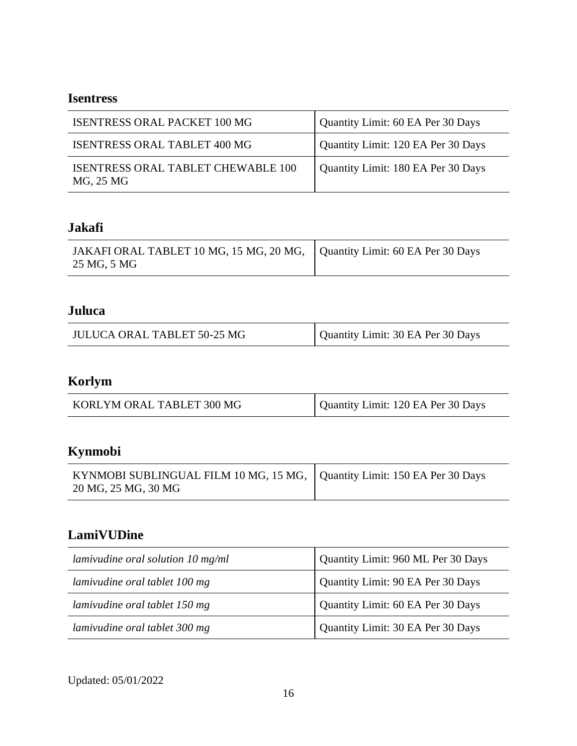### **Isentress**

| <b>ISENTRESS ORAL PACKET 100 MG</b>             | Quantity Limit: 60 EA Per 30 Days  |
|-------------------------------------------------|------------------------------------|
| <b>ISENTRESS ORAL TABLET 400 MG</b>             | Quantity Limit: 120 EA Per 30 Days |
| ISENTRESS ORAL TABLET CHEWABLE 100<br>MG, 25 MG | Quantity Limit: 180 EA Per 30 Days |

## **Jakafi**

| JAKAFI ORAL TABLET 10 MG, 15 MG, 20 MG,   Quantity Limit: 60 EA Per 30 Days<br>25 MG, 5 MG |  |
|--------------------------------------------------------------------------------------------|--|
|--------------------------------------------------------------------------------------------|--|

## **Juluca**

| JULUCA ORAL TABLET 50-25 MG | Quantity Limit: 30 EA Per 30 Days |
|-----------------------------|-----------------------------------|
|-----------------------------|-----------------------------------|

# **Korlym**

| KORLYM ORAL TABLET 300 MG | Quantity Limit: 120 EA Per 30 Days |
|---------------------------|------------------------------------|
|---------------------------|------------------------------------|

# **Kynmobi**

| KYNMOBI SUBLINGUAL FILM 10 MG, 15 MG,   Quantity Limit: 150 EA Per 30 Days<br>20 MG, 25 MG, 30 MG |  |
|---------------------------------------------------------------------------------------------------|--|
|---------------------------------------------------------------------------------------------------|--|

### **LamiVUDine**

| lamivudine oral solution $10 \text{ mg/ml}$ | Quantity Limit: 960 ML Per 30 Days |
|---------------------------------------------|------------------------------------|
| lamivudine oral tablet 100 mg               | Quantity Limit: 90 EA Per 30 Days  |
| lamivudine oral tablet 150 mg               | Quantity Limit: 60 EA Per 30 Days  |
| lamivudine oral tablet 300 mg               | Quantity Limit: 30 EA Per 30 Days  |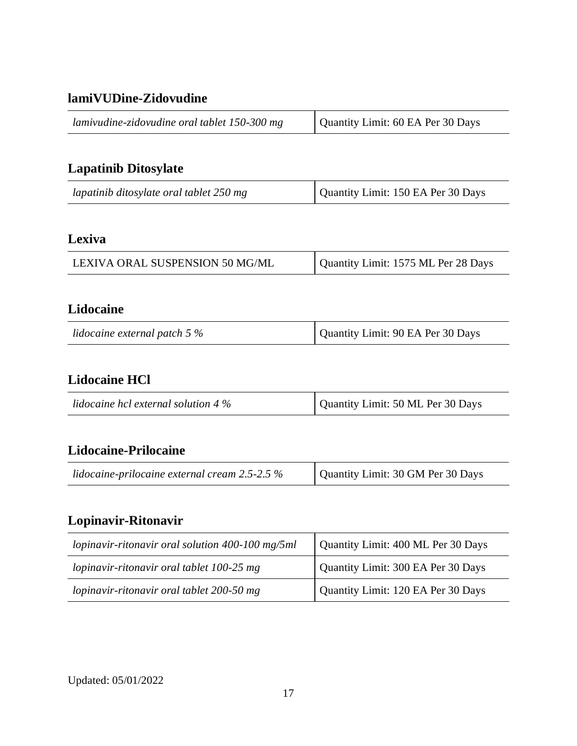### **lamiVUDine-Zidovudine**

# **Lapatinib Ditosylate**

| lapatinib ditosylate oral tablet 250 mg | Quantity Limit: 150 EA Per 30 Days |
|-----------------------------------------|------------------------------------|
|-----------------------------------------|------------------------------------|

## **Lexiva**

| LEXIVA ORAL SUSPENSION 50 MG/ML | Quantity Limit: 1575 ML Per 28 Days |
|---------------------------------|-------------------------------------|

### **Lidocaine**

| lidocaine external patch 5 $\%$ | Quantity Limit: 90 EA Per 30 Days |
|---------------------------------|-----------------------------------|
|---------------------------------|-----------------------------------|

### **Lidocaine HCl**

| lidocaine hcl external solution 4 $\%$ | Quantity Limit: 50 ML Per 30 Days |
|----------------------------------------|-----------------------------------|

### **Lidocaine-Prilocaine**

| lidocaine-prilocaine external cream $2.5$ - $2.5\%$ | Quantity Limit: 30 GM Per 30 Days |
|-----------------------------------------------------|-----------------------------------|
|                                                     |                                   |

# **Lopinavir-Ritonavir**

| lopinavir-ritonavir oral solution 400-100 mg/5ml | Quantity Limit: 400 ML Per 30 Days |
|--------------------------------------------------|------------------------------------|
| lopinavir-ritonavir oral tablet 100-25 mg        | Quantity Limit: 300 EA Per 30 Days |
| lopinavir-ritonavir oral tablet 200-50 mg        | Quantity Limit: 120 EA Per 30 Days |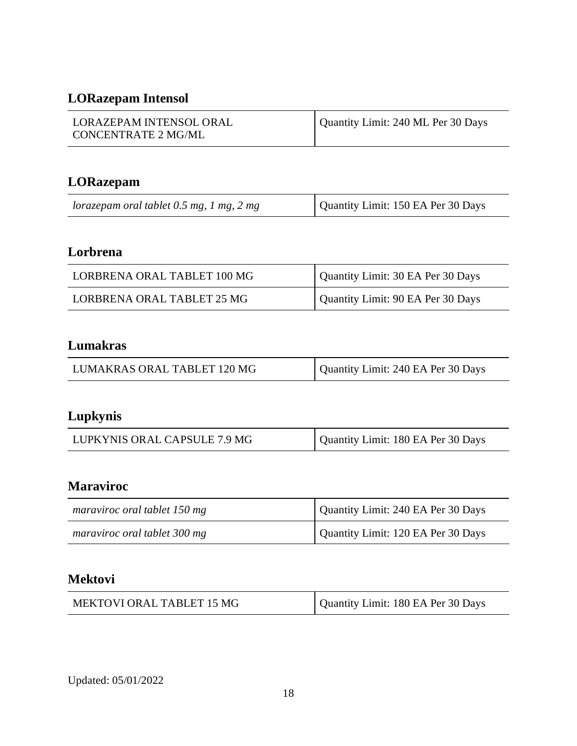# **LORazepam Intensol**

| LORAZEPAM INTENSOL ORAL | Quantity Limit: 240 ML Per 30 Days |
|-------------------------|------------------------------------|
| CONCENTRATE 2 MG/ML     |                                    |

## **LORazepam**

| lorazepam oral tablet $0.5$ mg, 1 mg, 2 mg | Quantity Limit: 150 EA Per 30 Days |
|--------------------------------------------|------------------------------------|

# **Lorbrena**

| LORBRENA ORAL TABLET 100 MG | Quantity Limit: 30 EA Per 30 Days |
|-----------------------------|-----------------------------------|
| LORBRENA ORAL TABLET 25 MG  | Quantity Limit: 90 EA Per 30 Days |

## **Lumakras**

| LUMAKRAS ORAL TABLET 120 MG | Quantity Limit: 240 EA Per 30 Days |
|-----------------------------|------------------------------------|
|-----------------------------|------------------------------------|

# **Lupkynis**

| LUPKYNIS ORAL CAPSULE 7.9 MG | Quantity Limit: 180 EA Per 30 Days |
|------------------------------|------------------------------------|
|------------------------------|------------------------------------|

## **Maraviroc**

| maraviroc oral tablet 150 mg | Quantity Limit: 240 EA Per 30 Days |
|------------------------------|------------------------------------|
| maraviroc oral tablet 300 mg | Quantity Limit: 120 EA Per 30 Days |

## **Mektovi**

| MEKTOVI ORAL TABLET 15 MG | Quantity Limit: 180 EA Per 30 Days |
|---------------------------|------------------------------------|
|---------------------------|------------------------------------|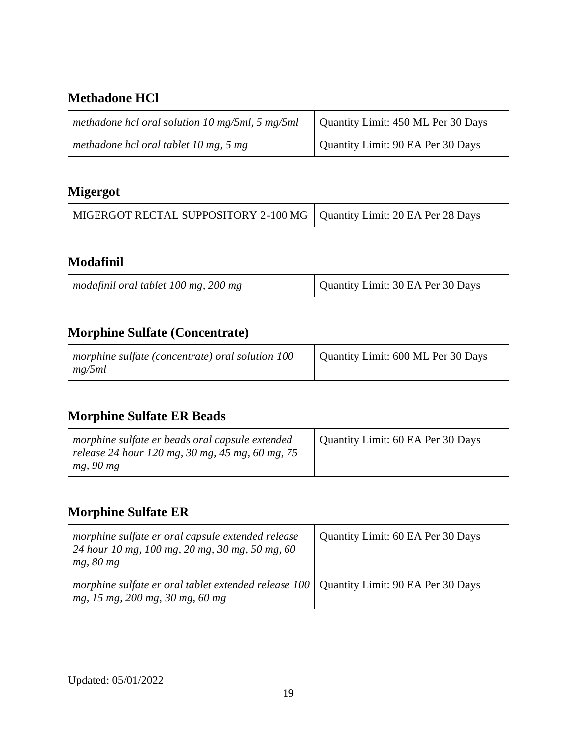### **Methadone HCl**

| methadone hcl oral solution 10 mg/5ml, 5 mg/5ml | Quantity Limit: 450 ML Per 30 Days |
|-------------------------------------------------|------------------------------------|
| methadone hcl oral tablet 10 mg, 5 mg           | Quantity Limit: 90 EA Per 30 Days  |

# **Migergot**

| MIGERGOT RECTAL SUPPOSITORY 2-100 MG   Quantity Limit: 20 EA Per 28 Days |  |
|--------------------------------------------------------------------------|--|
|--------------------------------------------------------------------------|--|

### **Modafinil**

| modafinil oral tablet 100 mg, 200 mg | Quantity Limit: 30 EA Per 30 Days |
|--------------------------------------|-----------------------------------|
|--------------------------------------|-----------------------------------|

# **Morphine Sulfate (Concentrate)**

| morphine sulfate (concentrate) oral solution 100 | Quantity Limit: 600 ML Per 30 Days |
|--------------------------------------------------|------------------------------------|
| mg/5ml                                           |                                    |

# **Morphine Sulfate ER Beads**

| morphine sulfate er beads oral capsule extended<br>release 24 hour 120 mg, 30 mg, 45 mg, 60 mg, 75<br>mg, 90 mg | Quantity Limit: 60 EA Per 30 Days |
|-----------------------------------------------------------------------------------------------------------------|-----------------------------------|
|-----------------------------------------------------------------------------------------------------------------|-----------------------------------|

# **Morphine Sulfate ER**

| morphine sulfate er oral capsule extended release<br>24 hour 10 mg, 100 mg, 20 mg, 30 mg, 50 mg, 60<br>mg, 80 mg                 | Quantity Limit: 60 EA Per 30 Days |
|----------------------------------------------------------------------------------------------------------------------------------|-----------------------------------|
| morphine sulfate er oral tablet extended release $100 \mid$ Quantity Limit: 90 EA Per 30 Days<br>mg, 15 mg, 200 mg, 30 mg, 60 mg |                                   |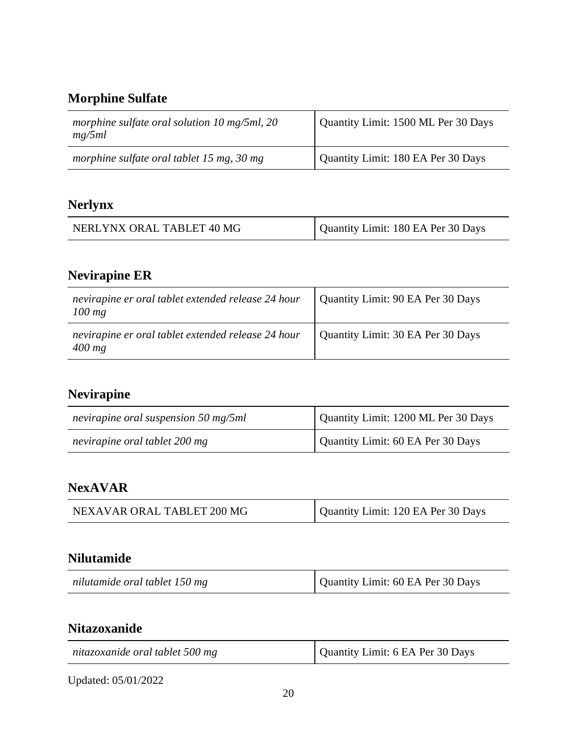## **Morphine Sulfate**

| morphine sulfate oral solution 10 mg/5ml, 20<br>mg/5ml | Quantity Limit: 1500 ML Per 30 Days |
|--------------------------------------------------------|-------------------------------------|
| morphine sulfate oral tablet 15 mg, 30 mg              | Quantity Limit: 180 EA Per 30 Days  |

# **Nerlynx**

| NERLYNX ORAL TABLET 40 MG | Quantity Limit: 180 EA Per 30 Days |
|---------------------------|------------------------------------|
|---------------------------|------------------------------------|

# **Nevirapine ER**

| nevirapine er oral tablet extended release 24 hour<br>$100$ mg | Quantity Limit: 90 EA Per 30 Days |
|----------------------------------------------------------------|-----------------------------------|
| nevirapine er oral tablet extended release 24 hour<br>$400$ mg | Quantity Limit: 30 EA Per 30 Days |

# **Nevirapine**

| nevirapine oral suspension 50 mg/5ml | Quantity Limit: 1200 ML Per 30 Days |
|--------------------------------------|-------------------------------------|
| nevirapine oral tablet 200 mg        | Quantity Limit: 60 EA Per 30 Days   |

### **NexAVAR**

| NEXAVAR ORAL TABLET 200 MG | Quantity Limit: 120 EA Per 30 Days |
|----------------------------|------------------------------------|
|                            |                                    |

### **Nilutamide**

| nilutamide oral tablet 150 mg | Quantity Limit: 60 EA Per 30 Days |
|-------------------------------|-----------------------------------|
|-------------------------------|-----------------------------------|

## **Nitazoxanide**

| nitazoxanide oral tablet 500 mg | Quantity Limit: 6 EA Per 30 Days |
|---------------------------------|----------------------------------|
|                                 |                                  |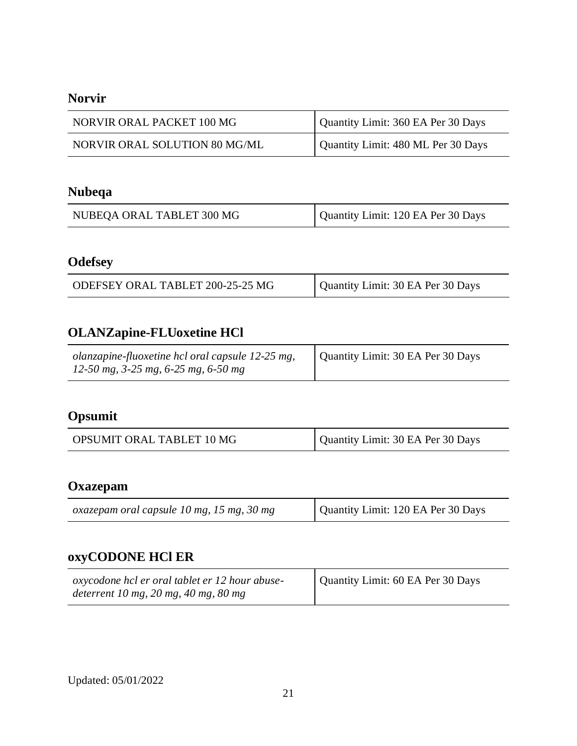### **Norvir**

| NORVIR ORAL PACKET 100 MG            | Quantity Limit: 360 EA Per 30 Days |
|--------------------------------------|------------------------------------|
| <b>NORVIR ORAL SOLUTION 80 MG/ML</b> | Quantity Limit: 480 ML Per 30 Days |

# **Nubeqa**

| NUBEQA ORAL TABLET 300 MG | Quantity Limit: 120 EA Per 30 Days |
|---------------------------|------------------------------------|
|---------------------------|------------------------------------|

# **Odefsey**

| ODEFSEY ORAL TABLET 200-25-25 MG | Quantity Limit: 30 EA Per 30 Days |
|----------------------------------|-----------------------------------|
|----------------------------------|-----------------------------------|

# **OLANZapine-FLUoxetine HCl**

| olanzapine-fluoxetine hcl oral capsule 12-25 mg,<br>12-50 mg, 3-25 mg, 6-25 mg, 6-50 mg | Quantity Limit: 30 EA Per 30 Days |
|-----------------------------------------------------------------------------------------|-----------------------------------|
|-----------------------------------------------------------------------------------------|-----------------------------------|

# **Opsumit**

| OPSUMIT ORAL TABLET 10 MG | Quantity Limit: 30 EA Per 30 Days |
|---------------------------|-----------------------------------|
|---------------------------|-----------------------------------|

#### **Oxazepam**

| oxazepam oral capsule 10 mg, 15 mg, 30 mg | Quantity Limit: 120 EA Per 30 Days |
|-------------------------------------------|------------------------------------|
|-------------------------------------------|------------------------------------|

# **oxyCODONE HCl ER**

| oxycodone hcl er oral tablet er 12 hour abuse- | Quantity Limit: 60 EA Per 30 Days |
|------------------------------------------------|-----------------------------------|
| deterrent 10 mg, 20 mg, 40 mg, 80 mg           |                                   |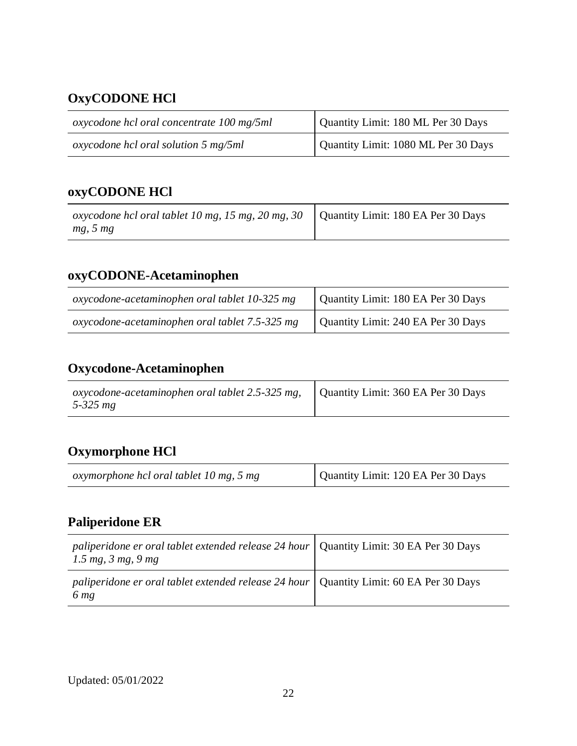# **OxyCODONE HCl**

| oxycodone hcl oral concentrate 100 mg/5ml | Quantity Limit: 180 ML Per 30 Days  |
|-------------------------------------------|-------------------------------------|
| oxycodone hcl oral solution 5 mg/5ml      | Quantity Limit: 1080 ML Per 30 Days |

## **oxyCODONE HCl**

| oxycodone hcl oral tablet 10 mg, 15 mg, 20 mg, 30 $\vert$ Quantity Limit: 180 EA Per 30 Days |  |
|----------------------------------------------------------------------------------------------|--|
| mg, 5 mg                                                                                     |  |

# **oxyCODONE-Acetaminophen**

| oxycodone-acetaminophen oral tablet 10-325 mg  | Quantity Limit: 180 EA Per 30 Days |
|------------------------------------------------|------------------------------------|
| oxycodone-acetaminophen oral tablet 7.5-325 mg | Quantity Limit: 240 EA Per 30 Days |

# **Oxycodone-Acetaminophen**

| oxycodone-acetaminophen oral tablet 2.5-325 mg, | Quantity Limit: 360 EA Per 30 Days |
|-------------------------------------------------|------------------------------------|
| 5-325 $mg$                                      |                                    |

# **Oxymorphone HCl**

| oxymorphone hcl oral tablet 10 mg, 5 mg | Quantity Limit: 120 EA Per 30 Days |
|-----------------------------------------|------------------------------------|
|-----------------------------------------|------------------------------------|

## **Paliperidone ER**

| paliperidone er oral tablet extended release 24 hour   Quantity Limit: 30 EA Per 30 Days<br>$1.5 \, mg, \, 3 \, mg, \, 9 \, mg$ |  |
|---------------------------------------------------------------------------------------------------------------------------------|--|
| paliperidone er oral tablet extended release 24 hour   Quantity Limit: 60 EA Per 30 Days<br>6 <sub>mg</sub>                     |  |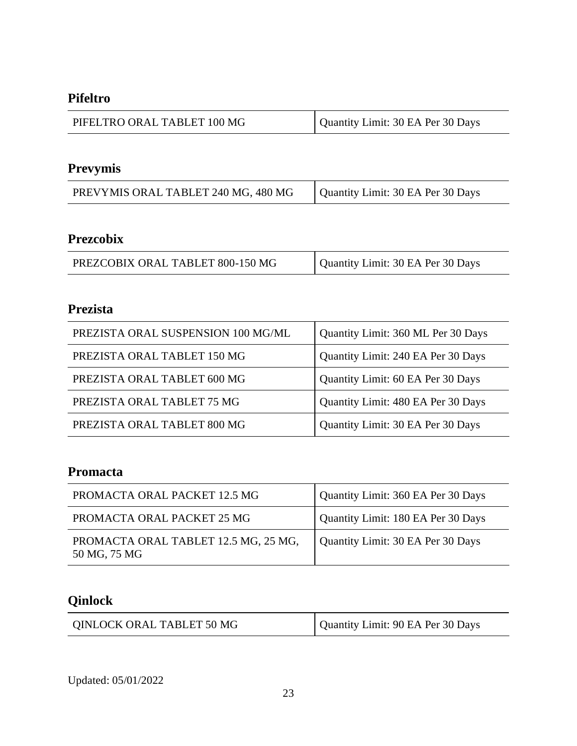#### **Pifeltro**

| PIFELTRO ORAL TABLET 100 MG | Quantity Limit: 30 EA Per 30 Days |
|-----------------------------|-----------------------------------|
|-----------------------------|-----------------------------------|

# **Prevymis**

| PREVYMIS ORAL TABLET 240 MG, 480 MG | Quantity Limit: 30 EA Per 30 Days |
|-------------------------------------|-----------------------------------|
|-------------------------------------|-----------------------------------|

### **Prezcobix**

## **Prezista**

| PREZISTA ORAL SUSPENSION 100 MG/ML | Quantity Limit: 360 ML Per 30 Days |
|------------------------------------|------------------------------------|
| PREZISTA ORAL TABLET 150 MG        | Quantity Limit: 240 EA Per 30 Days |
| PREZISTA ORAL TABLET 600 MG        | Quantity Limit: 60 EA Per 30 Days  |
| PREZISTA ORAL TABLET 75 MG         | Quantity Limit: 480 EA Per 30 Days |
| PREZISTA ORAL TABLET 800 MG        | Quantity Limit: 30 EA Per 30 Days  |

### **Promacta**

| PROMACTA ORAL PACKET 12.5 MG                         | Quantity Limit: 360 EA Per 30 Days |
|------------------------------------------------------|------------------------------------|
| PROMACTA ORAL PACKET 25 MG                           | Quantity Limit: 180 EA Per 30 Days |
| PROMACTA ORAL TABLET 12.5 MG, 25 MG,<br>50 MG, 75 MG | Quantity Limit: 30 EA Per 30 Days  |

# **Qinlock**

| QINLOCK ORAL TABLET 50 MG | Quantity Limit: 90 EA Per 30 Days |
|---------------------------|-----------------------------------|
|---------------------------|-----------------------------------|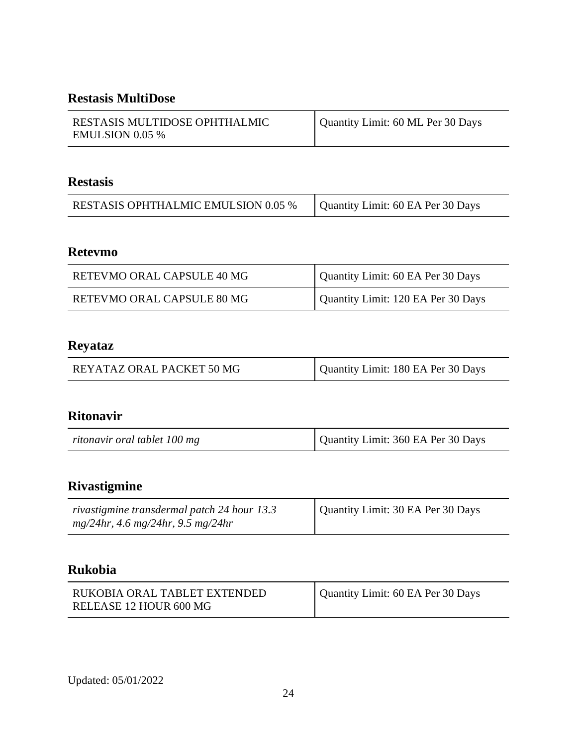### **Restasis MultiDose**

| RESTASIS MULTIDOSE OPHTHALMIC<br><b>EMULSION 0.05 %</b> | Quantity Limit: 60 ML Per 30 Days |
|---------------------------------------------------------|-----------------------------------|

#### **Restasis**

| <b>RESTASIS OPHTHALMIC EMULSION 0.05 %</b> | Quantity Limit: 60 EA Per 30 Days |
|--------------------------------------------|-----------------------------------|

### **Retevmo**

| RETEVMO ORAL CAPSULE 40 MG | Quantity Limit: 60 EA Per 30 Days  |
|----------------------------|------------------------------------|
| RETEVMO ORAL CAPSULE 80 MG | Quantity Limit: 120 EA Per 30 Days |

### **Reyataz**

| REYATAZ ORAL PACKET 50 MG | Quantity Limit: 180 EA Per 30 Days |
|---------------------------|------------------------------------|
|---------------------------|------------------------------------|

### **Ritonavir**

| ritonavir oral tablet 100 mg | Quantity Limit: 360 EA Per 30 Days |
|------------------------------|------------------------------------|
|------------------------------|------------------------------------|

# **Rivastigmine**

| rivastigmine transdermal patch 24 hour 13.3 | Quantity Limit: 30 EA Per 30 Days |
|---------------------------------------------|-----------------------------------|
| $mg/24hr$ , 4.6 mg/24hr, 9.5 mg/24hr        |                                   |

### **Rukobia**

| RUKOBIA ORAL TABLET EXTENDED | Quantity Limit: 60 EA Per 30 Days |
|------------------------------|-----------------------------------|
| RELEASE 12 HOUR 600 MG       |                                   |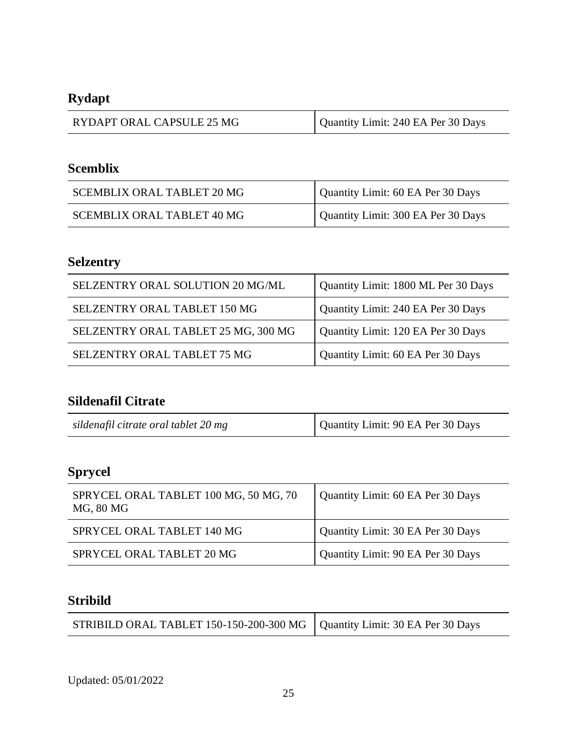# **Rydapt**

| RYDAPT ORAL CAPSULE 25 MG | Quantity Limit: 240 EA Per 30 Days |
|---------------------------|------------------------------------|
|---------------------------|------------------------------------|

# **Scemblix**

| <b>SCEMBLIX ORAL TABLET 20 MG</b> | Quantity Limit: 60 EA Per 30 Days  |
|-----------------------------------|------------------------------------|
| <b>SCEMBLIX ORAL TABLET 40 MG</b> | Quantity Limit: 300 EA Per 30 Days |

# **Selzentry**

| SELZENTRY ORAL SOLUTION 20 MG/ML    | Quantity Limit: 1800 ML Per 30 Days |
|-------------------------------------|-------------------------------------|
| SELZENTRY ORAL TABLET 150 MG        | Quantity Limit: 240 EA Per 30 Days  |
| SELZENTRY ORAL TABLET 25 MG, 300 MG | Quantity Limit: 120 EA Per 30 Days  |
| SELZENTRY ORAL TABLET 75 MG         | Quantity Limit: 60 EA Per 30 Days   |

## **Sildenafil Citrate**

| sildenafil citrate oral tablet 20 mg | Quantity Limit: 90 EA Per 30 Days |
|--------------------------------------|-----------------------------------|
|--------------------------------------|-----------------------------------|

# **Sprycel**

| SPRYCEL ORAL TABLET 100 MG, 50 MG, 70<br>MG, 80 MG | Quantity Limit: 60 EA Per 30 Days |
|----------------------------------------------------|-----------------------------------|
| SPRYCEL ORAL TABLET 140 MG                         | Quantity Limit: 30 EA Per 30 Days |
| SPRYCEL ORAL TABLET 20 MG                          | Quantity Limit: 90 EA Per 30 Days |

### **Stribild**

| STRIBILD ORAL TABLET 150-150-200-300 MG $\vert$ Quantity Limit: 30 EA Per 30 Days |  |
|-----------------------------------------------------------------------------------|--|
|-----------------------------------------------------------------------------------|--|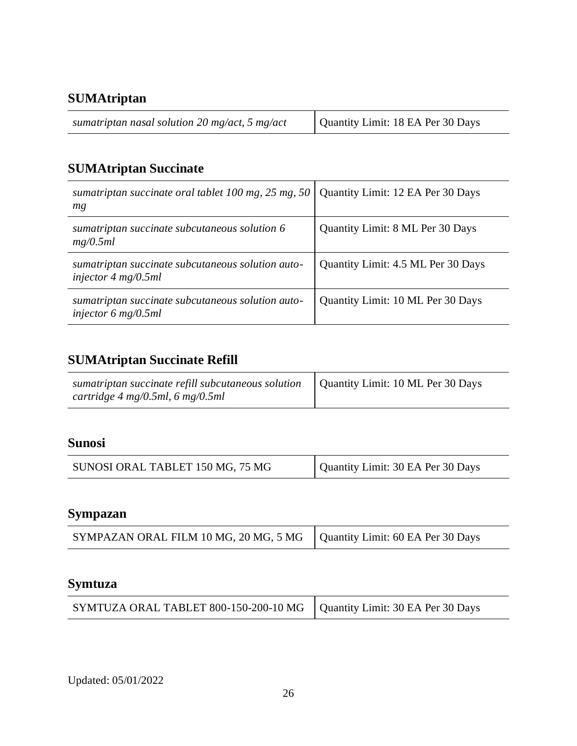## **SUMAtriptan**

| sumatriptan nasal solution 20 mg/act, 5 mg/act | Quantity Limit: 18 EA Per 30 Days |
|------------------------------------------------|-----------------------------------|
|------------------------------------------------|-----------------------------------|

# **SUMAtriptan Succinate**

| sumatriptan succinate oral tablet 100 mg, 25 mg, 50 $\vert$<br>mg                          | Quantity Limit: 12 EA Per 30 Days  |
|--------------------------------------------------------------------------------------------|------------------------------------|
| sumatriptan succinate subcutaneous solution 6<br>mg/0.5ml                                  | Quantity Limit: 8 ML Per 30 Days   |
| sumatriptan succinate subcutaneous solution auto-<br>injector $4 \text{ mg}/0.5 \text{ml}$ | Quantity Limit: 4.5 ML Per 30 Days |
| sumatriptan succinate subcutaneous solution auto-<br>injector 6 mg/0.5ml                   | Quantity Limit: 10 ML Per 30 Days  |

# **SUMAtriptan Succinate Refill**

| sumatriptan succinate refill subcutaneous solution<br>cartridge 4 mg/0.5ml, 6 mg/0.5ml | Quantity Limit: 10 ML Per 30 Days |
|----------------------------------------------------------------------------------------|-----------------------------------|

## **Sunosi**

| SUNOSI ORAL TABLET 150 MG, 75 MG | Quantity Limit: 30 EA Per 30 Days |
|----------------------------------|-----------------------------------|
|                                  |                                   |

## **Sympazan**

| SYMPAZAN ORAL FILM 10 MG, 20 MG, 5 MG   Quantity Limit: 60 EA Per 30 Days |  |
|---------------------------------------------------------------------------|--|
|---------------------------------------------------------------------------|--|

## **Symtuza**

| SYMTUZA ORAL TABLET 800-150-200-10 MG   Quantity Limit: 30 EA Per 30 Days |  |
|---------------------------------------------------------------------------|--|
|---------------------------------------------------------------------------|--|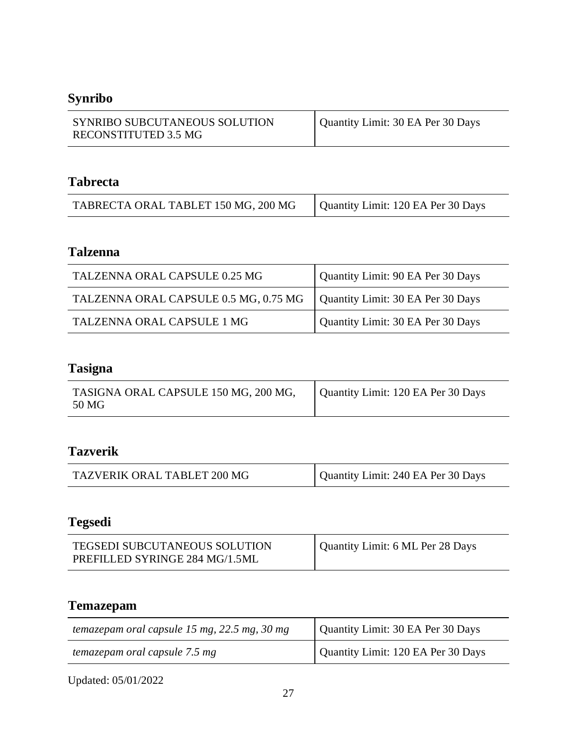# **Synribo**

| SYNRIBO SUBCUTANEOUS SOLUTION<br>RECONSTITUTED 3.5 MG | Quantity Limit: 30 EA Per 30 Days |
|-------------------------------------------------------|-----------------------------------|
|                                                       |                                   |

#### **Tabrecta**

| TABRECTA ORAL TABLET 150 MG, 200 MG | Quantity Limit: 120 EA Per 30 Days |
|-------------------------------------|------------------------------------|
|-------------------------------------|------------------------------------|

### **Talzenna**

| TALZENNA ORAL CAPSULE 0.25 MG         | Quantity Limit: 90 EA Per 30 Days |
|---------------------------------------|-----------------------------------|
| TALZENNA ORAL CAPSULE 0.5 MG, 0.75 MG | Quantity Limit: 30 EA Per 30 Days |
| TALZENNA ORAL CAPSULE 1 MG            | Quantity Limit: 30 EA Per 30 Days |

# **Tasigna**

| TASIGNA ORAL CAPSULE 150 MG, 200 MG,<br>50 MG | Quantity Limit: 120 EA Per 30 Days |
|-----------------------------------------------|------------------------------------|
|                                               |                                    |

### **Tazverik**

| TAZVERIK ORAL TABLET 200 MG | Quantity Limit: 240 EA Per 30 Days |
|-----------------------------|------------------------------------|
|-----------------------------|------------------------------------|

# **Tegsedi**

| <b>TEGSEDI SUBCUTANEOUS SOLUTION</b> | Quantity Limit: 6 ML Per 28 Days |
|--------------------------------------|----------------------------------|
| PREFILLED SYRINGE 284 MG/1.5ML       |                                  |

# **Temazepam**

| temazepam oral capsule 15 mg, $22.5$ mg, $30$ mg | Quantity Limit: 30 EA Per 30 Days  |
|--------------------------------------------------|------------------------------------|
| temazepam oral capsule 7.5 mg                    | Quantity Limit: 120 EA Per 30 Days |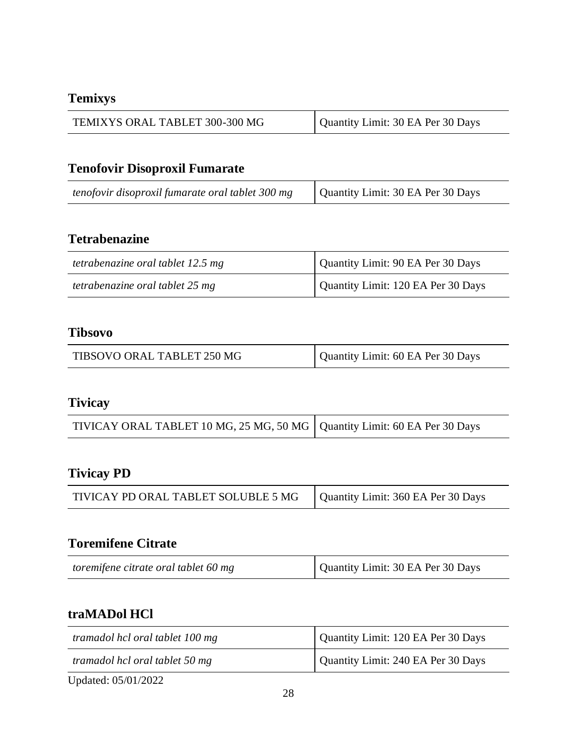## **Temixys**

| TEMIXYS ORAL TABLET 300-300 MG | Quantity Limit: 30 EA Per 30 Days |
|--------------------------------|-----------------------------------|
|--------------------------------|-----------------------------------|

# **Tenofovir Disoproxil Fumarate**

| tenofovir disoproxil fumarate oral tablet 300 mg | Quantity Limit: 30 EA Per 30 Days |
|--------------------------------------------------|-----------------------------------|
|--------------------------------------------------|-----------------------------------|

### **Tetrabenazine**

| tetrabenazine oral tablet 12.5 mg | Quantity Limit: 90 EA Per 30 Days  |
|-----------------------------------|------------------------------------|
| tetrabenazine oral tablet 25 mg   | Quantity Limit: 120 EA Per 30 Days |

#### **Tibsovo**

| Quantity Limit: 60 EA Per 30 Days<br>TIBSOVO ORAL TABLET 250 MG |  |  |
|-----------------------------------------------------------------|--|--|
|-----------------------------------------------------------------|--|--|

#### **Tivicay**

| TIVICAY ORAL TABLET 10 MG, 25 MG, 50 MG   Quantity Limit: 60 EA Per 30 Days |  |
|-----------------------------------------------------------------------------|--|
|-----------------------------------------------------------------------------|--|

## **Tivicay PD**

| TIVICAY PD ORAL TABLET SOLUBLE 5 MG | Quantity Limit: 360 EA Per 30 Days |
|-------------------------------------|------------------------------------|
|-------------------------------------|------------------------------------|

## **Toremifene Citrate**

| toremifene citrate oral tablet 60 mg | Quantity Limit: 30 EA Per 30 Days |
|--------------------------------------|-----------------------------------|
|--------------------------------------|-----------------------------------|

## **traMADol HCl**

| tramadol hcl oral tablet 100 mg | Quantity Limit: 120 EA Per 30 Days |
|---------------------------------|------------------------------------|
| tramadol hcl oral tablet 50 mg  | Quantity Limit: 240 EA Per 30 Days |
| Updated: 05/01/2022             |                                    |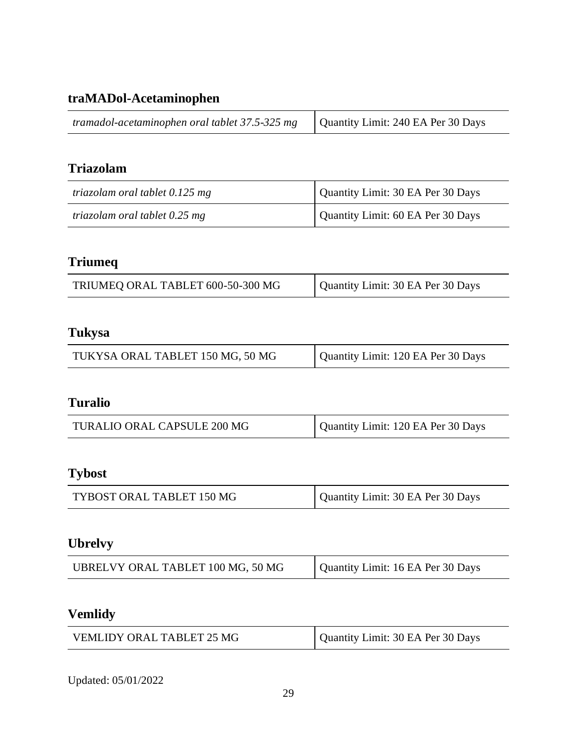## **traMADol-Acetaminophen**

| tramadol-acetaminophen oral tablet 37.5-325 mg | Quantity Limit: 240 EA Per 30 Days |
|------------------------------------------------|------------------------------------|
|------------------------------------------------|------------------------------------|

## **Triazolam**

| triazolam oral tablet 0.125 mg | Quantity Limit: 30 EA Per 30 Days |
|--------------------------------|-----------------------------------|
| triazolam oral tablet 0.25 mg  | Quantity Limit: 60 EA Per 30 Days |

# **Triumeq**

| TRIUMEQ ORAL TABLET 600-50-300 MG | Quantity Limit: 30 EA Per 30 Days |
|-----------------------------------|-----------------------------------|
|-----------------------------------|-----------------------------------|

## **Tukysa**

| Quantity Limit: 120 EA Per 30 Days<br>TUKYSA ORAL TABLET 150 MG, 50 MG |
|------------------------------------------------------------------------|
|------------------------------------------------------------------------|

### **Turalio**

| TURALIO ORAL CAPSULE 200 MG | Quantity Limit: 120 EA Per 30 Days |
|-----------------------------|------------------------------------|
|-----------------------------|------------------------------------|

## **Tybost**

| TYBOST ORAL TABLET 150 MG | Quantity Limit: 30 EA Per 30 Days |
|---------------------------|-----------------------------------|
|---------------------------|-----------------------------------|

### **Ubrelvy**

| UBRELVY ORAL TABLET 100 MG, 50 MG | Quantity Limit: 16 EA Per 30 Days |
|-----------------------------------|-----------------------------------|
|-----------------------------------|-----------------------------------|

# **Vemlidy**

| VEMLIDY ORAL TABLET 25 MG | Quantity Limit: 30 EA Per 30 Days |
|---------------------------|-----------------------------------|
|---------------------------|-----------------------------------|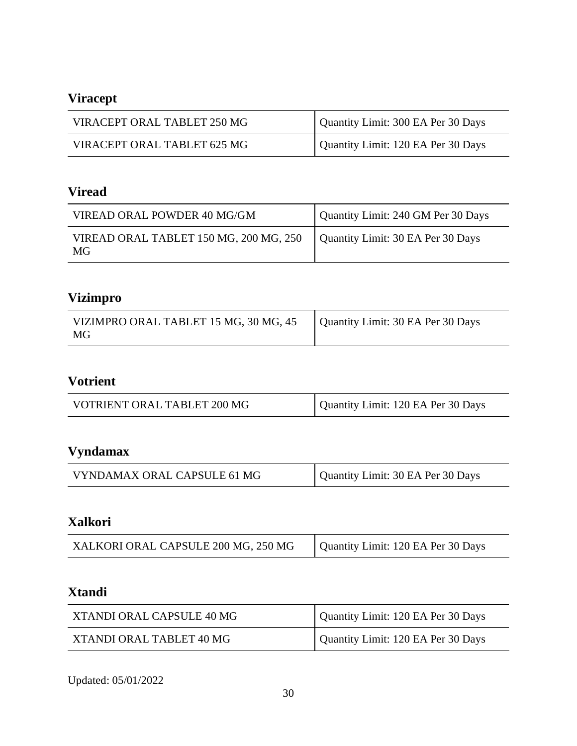# **Viracept**

| VIRACEPT ORAL TABLET 250 MG | Quantity Limit: 300 EA Per 30 Days |
|-----------------------------|------------------------------------|
| VIRACEPT ORAL TABLET 625 MG | Quantity Limit: 120 EA Per 30 Days |

## **Viread**

| VIREAD ORAL POWDER 40 MG/GM                  | Quantity Limit: 240 GM Per 30 Days |
|----------------------------------------------|------------------------------------|
| VIREAD ORAL TABLET 150 MG, 200 MG, 250<br>MG | Quantity Limit: 30 EA Per 30 Days  |

# **Vizimpro**

| VIZIMPRO ORAL TABLET 15 MG, 30 MG, 45 | Quantity Limit: 30 EA Per 30 Days |
|---------------------------------------|-----------------------------------|
| MG                                    |                                   |

## **Votrient**

| VOTRIENT ORAL TABLET 200 MG | Quantity Limit: 120 EA Per 30 Days |
|-----------------------------|------------------------------------|
|-----------------------------|------------------------------------|

# **Vyndamax**

| VYNDAMAX ORAL CAPSULE 61 MG | Quantity Limit: 30 EA Per 30 Days |
|-----------------------------|-----------------------------------|
|-----------------------------|-----------------------------------|

## **Xalkori**

| XALKORI ORAL CAPSULE 200 MG, 250 MG | Quantity Limit: 120 EA Per 30 Days |
|-------------------------------------|------------------------------------|
|                                     |                                    |

## **Xtandi**

| XTANDI ORAL CAPSULE 40 MG | Quantity Limit: 120 EA Per 30 Days |
|---------------------------|------------------------------------|
| XTANDI ORAL TABLET 40 MG  | Quantity Limit: 120 EA Per 30 Days |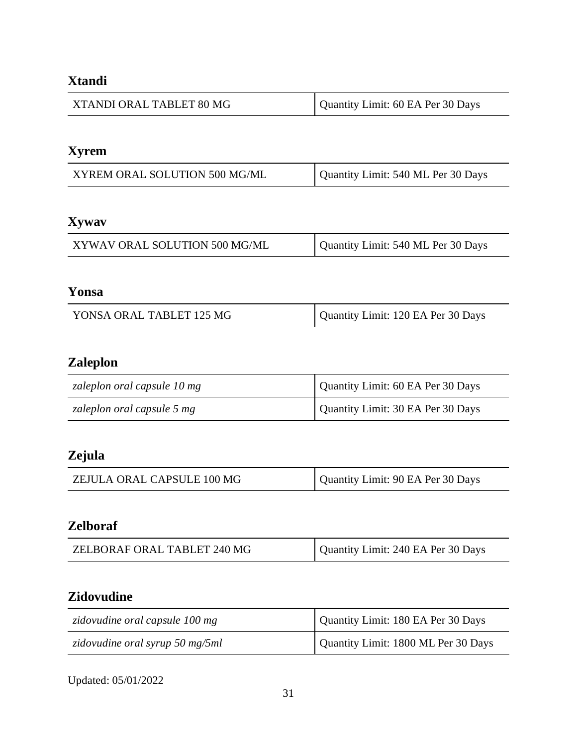# **Xtandi**

| XTANDI ORAL TABLET 80 MG | Quantity Limit: 60 EA Per 30 Days |
|--------------------------|-----------------------------------|
|--------------------------|-----------------------------------|

# **Xyrem**

| XYREM ORAL SOLUTION 500 MG/ML | Quantity Limit: 540 ML Per 30 Days |
|-------------------------------|------------------------------------|
|-------------------------------|------------------------------------|

# **Xywav**

| XYWAV ORAL SOLUTION 500 MG/ML | Quantity Limit: 540 ML Per 30 Days |
|-------------------------------|------------------------------------|
|-------------------------------|------------------------------------|

### **Yonsa**

| Quantity Limit: 120 EA Per 30 Days<br>YONSA ORAL TABLET 125 MG |
|----------------------------------------------------------------|
|----------------------------------------------------------------|

# **Zaleplon**

| zaleplon oral capsule 10 mg | Quantity Limit: 60 EA Per 30 Days |
|-----------------------------|-----------------------------------|
| zaleplon oral capsule 5 mg  | Quantity Limit: 30 EA Per 30 Days |

## **Zejula**

| ZEJULA ORAL CAPSULE 100 MG | Quantity Limit: 90 EA Per 30 Days |
|----------------------------|-----------------------------------|
|                            |                                   |

# **Zelboraf**

| ZELBORAF ORAL TABLET 240 MG | Quantity Limit: 240 EA Per 30 Days |
|-----------------------------|------------------------------------|
|-----------------------------|------------------------------------|

### **Zidovudine**

| zidovudine oral capsule 100 mg  | Quantity Limit: 180 EA Per 30 Days  |
|---------------------------------|-------------------------------------|
| zidovudine oral syrup 50 mg/5ml | Quantity Limit: 1800 ML Per 30 Days |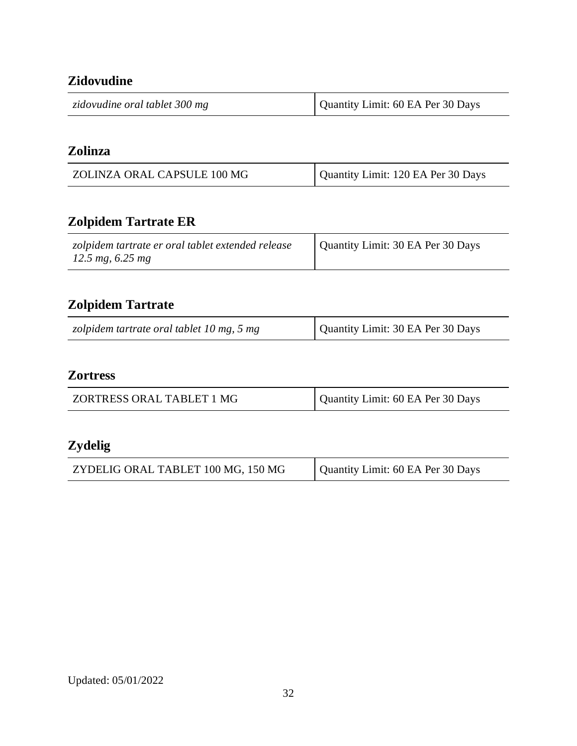# **Zidovudine**

| zidovudine oral tablet 300 mg | Quantity Limit: 60 EA Per 30 Days |
|-------------------------------|-----------------------------------|
|                               |                                   |

#### **Zolinza**

| ZOLINZA ORAL CAPSULE 100 MG | Quantity Limit: 120 EA Per 30 Days |
|-----------------------------|------------------------------------|
|                             |                                    |

# **Zolpidem Tartrate ER**

| zolpidem tartrate er oral tablet extended release<br>12.5 mg, $6.25$ mg | Quantity Limit: 30 EA Per 30 Days |
|-------------------------------------------------------------------------|-----------------------------------|
|-------------------------------------------------------------------------|-----------------------------------|

# **Zolpidem Tartrate**

| zolpidem tartrate oral tablet 10 mg, 5 mg | Quantity Limit: 30 EA Per 30 Days |
|-------------------------------------------|-----------------------------------|
|-------------------------------------------|-----------------------------------|

### **Zortress**

| ZORTRESS ORAL TABLET 1 MG | Quantity Limit: 60 EA Per 30 Days |
|---------------------------|-----------------------------------|
|                           |                                   |

## **Zydelig**

| ZYDELIG ORAL TABLET 100 MG, 150 MG | Quantity Limit: 60 EA Per 30 Days |
|------------------------------------|-----------------------------------|
|------------------------------------|-----------------------------------|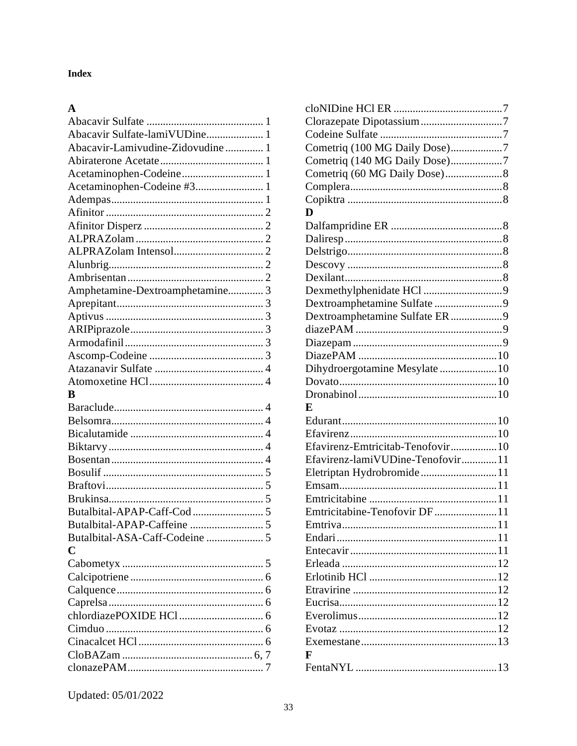#### **Index**

### $\mathbf{A}$

| Abacavir Sulfate-lamiVUDine 1    |  |
|----------------------------------|--|
| Abacavir-Lamivudine-Zidovudine 1 |  |
|                                  |  |
| Acetaminophen-Codeine 1          |  |
| Acetaminophen-Codeine #3 1       |  |
|                                  |  |
|                                  |  |
|                                  |  |
|                                  |  |
|                                  |  |
|                                  |  |
|                                  |  |
| Amphetamine-Dextroamphetamine 3  |  |
|                                  |  |
|                                  |  |
|                                  |  |
|                                  |  |
|                                  |  |
|                                  |  |
|                                  |  |
| B                                |  |
|                                  |  |
|                                  |  |
|                                  |  |
|                                  |  |
|                                  |  |
|                                  |  |
|                                  |  |
|                                  |  |
|                                  |  |
|                                  |  |
| Butalbital-ASA-Caff-Codeine  5   |  |
| C                                |  |
|                                  |  |
|                                  |  |
|                                  |  |
|                                  |  |
|                                  |  |
|                                  |  |
|                                  |  |
|                                  |  |
|                                  |  |

| Cometriq (100 MG Daily Dose)7                                  |
|----------------------------------------------------------------|
| Cometriq (140 MG Daily Dose)7                                  |
|                                                                |
|                                                                |
|                                                                |
| D                                                              |
|                                                                |
|                                                                |
|                                                                |
|                                                                |
|                                                                |
|                                                                |
| Dextroamphetamine Sulfate 9                                    |
| Dextroamphetamine Sulfate ER 9                                 |
|                                                                |
|                                                                |
|                                                                |
| Dihydroergotamine Mesylate 10                                  |
|                                                                |
|                                                                |
| E                                                              |
|                                                                |
|                                                                |
| Efavirenz-Emtricitab-Tenofovir10                               |
| Efavirenz-lamiVUDine-Tenofovir11                               |
| Eletriptan Hydrobromide11                                      |
|                                                                |
|                                                                |
| Emtricitabine-Tenofovir DF11                                   |
| Emtriva<br>. The contract of the contract of the contract $11$ |
|                                                                |
|                                                                |
|                                                                |
|                                                                |
|                                                                |
|                                                                |
|                                                                |
|                                                                |
|                                                                |
| F                                                              |
|                                                                |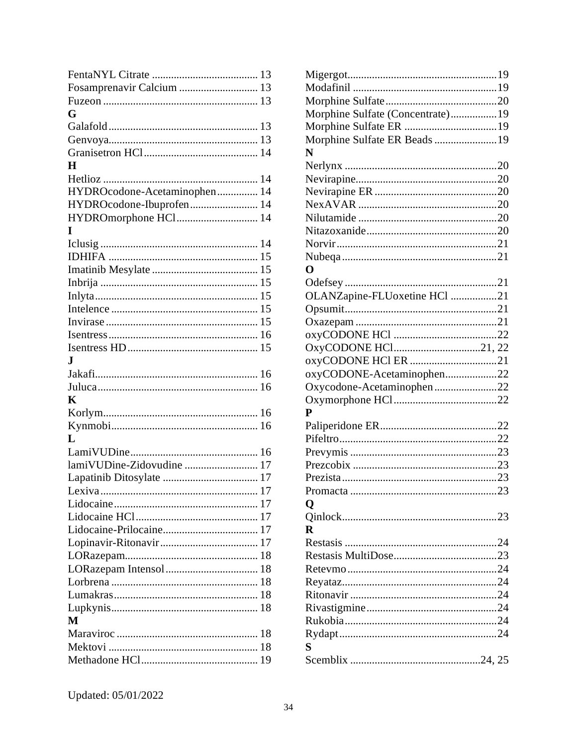| Fosamprenavir Calcium  13    |  |
|------------------------------|--|
|                              |  |
| G                            |  |
|                              |  |
|                              |  |
|                              |  |
| H                            |  |
|                              |  |
| HYDROcodone-Acetaminophen 14 |  |
| HYDROcodone-Ibuprofen 14     |  |
| HYDROmorphone HCl 14         |  |
| T                            |  |
|                              |  |
|                              |  |
|                              |  |
|                              |  |
|                              |  |
|                              |  |
|                              |  |
|                              |  |
|                              |  |
| J.                           |  |
|                              |  |
|                              |  |
| K                            |  |
|                              |  |
|                              |  |
| L                            |  |
|                              |  |
| lamiVUDine-Zidovudine  17    |  |
|                              |  |
|                              |  |
|                              |  |
|                              |  |
|                              |  |
|                              |  |
|                              |  |
|                              |  |
|                              |  |
|                              |  |
|                              |  |
| M                            |  |
|                              |  |
|                              |  |
|                              |  |
|                              |  |

| Morphine Sulfate (Concentrate)19 |  |
|----------------------------------|--|
|                                  |  |
| Morphine Sulfate ER Beads 19     |  |
| N                                |  |
|                                  |  |
|                                  |  |
|                                  |  |
|                                  |  |
|                                  |  |
|                                  |  |
|                                  |  |
|                                  |  |
| O                                |  |
|                                  |  |
| OLANZapine-FLUoxetine HCl 21     |  |
|                                  |  |
|                                  |  |
|                                  |  |
| OxyCODONE HCl21, 22              |  |
|                                  |  |
| oxyCODONE-Acetaminophen22        |  |
| Oxycodone-Acetaminophen22        |  |
|                                  |  |
| P                                |  |
|                                  |  |
|                                  |  |
|                                  |  |
|                                  |  |
|                                  |  |
|                                  |  |
| Q                                |  |
|                                  |  |
| R                                |  |
|                                  |  |
|                                  |  |
|                                  |  |
|                                  |  |
|                                  |  |
|                                  |  |
|                                  |  |
|                                  |  |
|                                  |  |
| S                                |  |
|                                  |  |